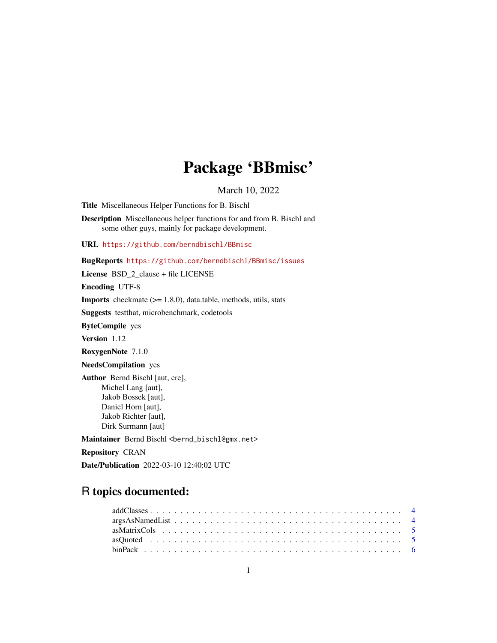# Package 'BBmisc'

March 10, 2022

<span id="page-0-0"></span>Title Miscellaneous Helper Functions for B. Bischl

Description Miscellaneous helper functions for and from B. Bischl and some other guys, mainly for package development.

URL <https://github.com/berndbischl/BBmisc>

BugReports <https://github.com/berndbischl/BBmisc/issues>

License BSD\_2\_clause + file LICENSE

Encoding UTF-8

Imports checkmate (>= 1.8.0), data.table, methods, utils, stats

Suggests testthat, microbenchmark, codetools

ByteCompile yes

Version 1.12

RoxygenNote 7.1.0

NeedsCompilation yes

Author Bernd Bischl [aut, cre], Michel Lang [aut], Jakob Bossek [aut], Daniel Horn [aut], Jakob Richter [aut], Dirk Surmann [aut]

Maintainer Bernd Bischl <br/>bernd\_bischl@gmx.net>

Repository CRAN

Date/Publication 2022-03-10 12:40:02 UTC

# R topics documented: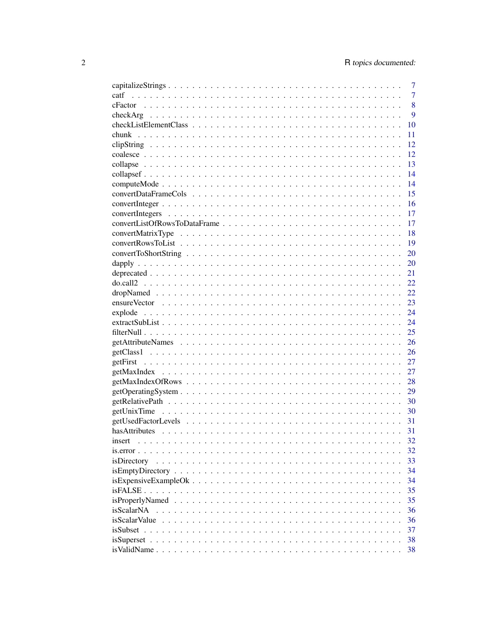|               | 7              |
|---------------|----------------|
| catf          | $\overline{7}$ |
|               | 8              |
|               | 9              |
|               | 10             |
| chunk         | 11             |
|               | 12             |
|               | 12             |
|               | 13             |
|               | 14             |
|               | 14             |
|               | 15             |
|               | 16             |
|               | 17             |
|               | 17             |
|               | 18             |
|               | 19             |
|               | 20             |
|               | 20             |
|               | 21             |
|               | 22             |
|               | 22             |
|               | 23             |
|               | 24             |
|               | 24             |
|               | 25             |
|               | 26             |
|               | 26             |
|               | 27             |
|               | 27             |
|               | 28             |
|               | 29             |
|               | 30             |
|               | 30             |
|               | 31             |
|               | 31             |
|               | 32             |
|               | 32             |
| isDirectory   | 33             |
|               | 34             |
|               | 34             |
|               | 35             |
|               | 35             |
| isScalarNA    | 36             |
| isScalarValue | 36             |
|               | 37             |
|               | 38             |
|               | 38             |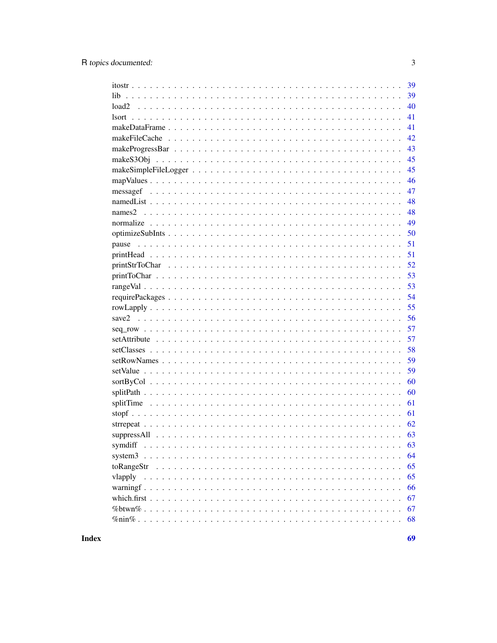|            | 39 |
|------------|----|
| lib.       | 39 |
| load2      | 40 |
|            | 41 |
|            | 41 |
|            | 42 |
|            | 43 |
|            | 45 |
|            | 45 |
|            | 46 |
|            | 47 |
|            | 48 |
| names2     | 48 |
|            | 49 |
|            | 50 |
|            | 51 |
|            | 51 |
|            | 52 |
|            | 53 |
|            | 53 |
|            | 54 |
|            | 55 |
| save2      | 56 |
|            | 57 |
|            | 57 |
|            | 58 |
|            | 59 |
|            | 59 |
|            | 60 |
|            | 60 |
|            | 61 |
|            | 61 |
|            | 62 |
|            | 63 |
| symdiff    | 63 |
| system3    | 64 |
| toRangeStr | 65 |
| vlapply    | 65 |
|            | 66 |
|            | 67 |
|            | 67 |
|            | 68 |
|            |    |

 $\overline{3}$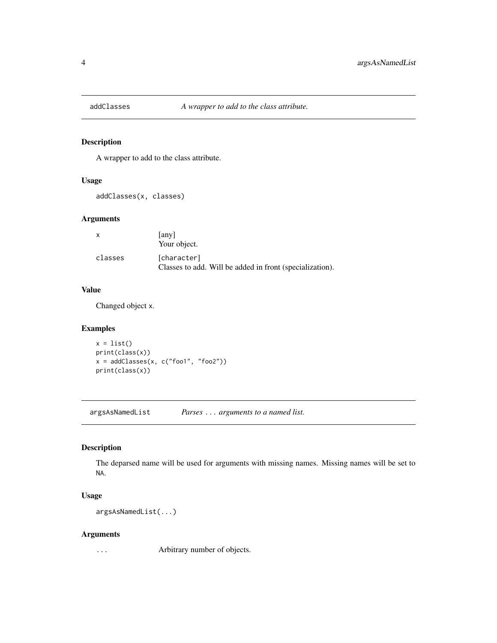<span id="page-3-0"></span>

A wrapper to add to the class attribute.

#### Usage

addClasses(x, classes)

# Arguments

| $\mathsf{x}$ | any  <br>Your object.                                                   |
|--------------|-------------------------------------------------------------------------|
| classes      | [character]<br>Classes to add. Will be added in front (specialization). |

# Value

Changed object x.

# Examples

```
x = list()print(class(x))
x = addClasses(x, c("foo1", "foo2"))print(class(x))
```
argsAsNamedList *Parses* ... *arguments to a named list.*

# Description

The deparsed name will be used for arguments with missing names. Missing names will be set to NA.

# Usage

argsAsNamedList(...)

#### Arguments

... Arbitrary number of objects.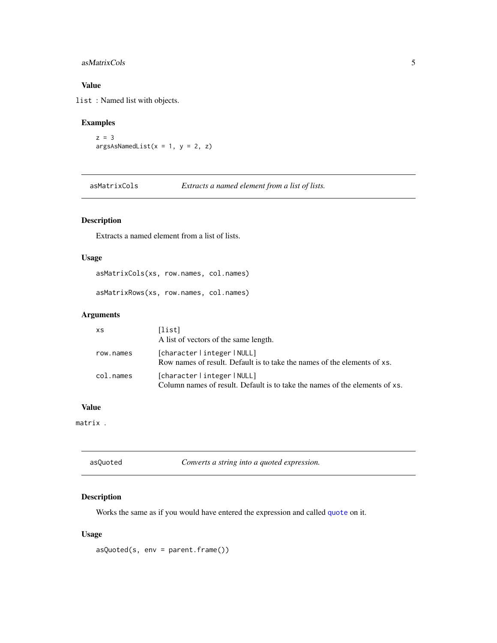# <span id="page-4-0"></span>asMatrixCols 5

### Value

list : Named list with objects.

# Examples

```
z = 3argsAsNamedList(x = 1, y = 2, z)
```
asMatrixCols *Extracts a named element from a list of lists.*

# Description

Extracts a named element from a list of lists.

### Usage

```
asMatrixCols(xs, row.names, col.names)
```
asMatrixRows(xs, row.names, col.names)

# Arguments

| XS        | [list]<br>A list of vectors of the same length.                                                         |
|-----------|---------------------------------------------------------------------------------------------------------|
| row.names | [character integer NULL]<br>Row names of result. Default is to take the names of the elements of xs.    |
| col.names | [character integer NULL]<br>Column names of result. Default is to take the names of the elements of xs. |

### Value

matrix .

| asQuoted | Converts a string into a quoted expression. |
|----------|---------------------------------------------|
|          |                                             |

# Description

Works the same as if you would have entered the expression and called [quote](#page-0-0) on it.

# Usage

asQuoted(s, env = parent.frame())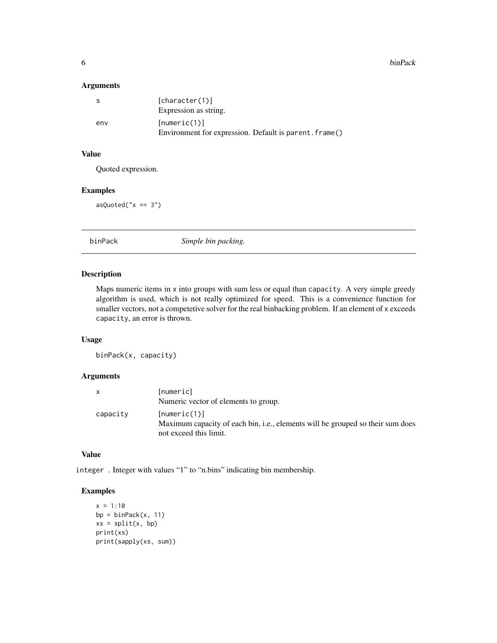#### <span id="page-5-0"></span>6 binPack

### Arguments

|     | [character(1)]<br>Expression as string.                                |
|-----|------------------------------------------------------------------------|
| env | [numeric(1)]<br>Environment for expression. Default is parent. frame() |

# Value

Quoted expression.

#### Examples

 $asQuoted('x == 3")$ 

binPack *Simple bin packing.*

#### Description

Maps numeric items in x into groups with sum less or equal than capacity. A very simple greedy algorithm is used, which is not really optimized for speed. This is a convenience function for smaller vectors, not a competetive solver for the real binbacking problem. If an element of x exceeds capacity, an error is thrown.

### Usage

binPack(x, capacity)

### Arguments

| x        | [numeric]                                                                      |
|----------|--------------------------------------------------------------------------------|
|          | Numeric vector of elements to group.                                           |
| capacity | [numeric(1)]                                                                   |
|          | Maximum capacity of each bin, i.e., elements will be grouped so their sum does |
|          | not exceed this limit.                                                         |

### Value

integer . Integer with values "1" to "n.bins" indicating bin membership.

# Examples

```
x = 1:10bp = binPack(x, 11)xs = split(x, bp)print(xs)
print(sapply(xs, sum))
```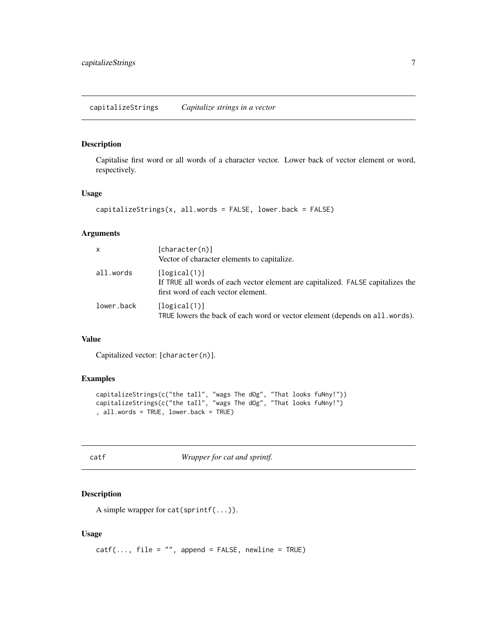<span id="page-6-0"></span>Capitalise first word or all words of a character vector. Lower back of vector element or word, respectively.

### Usage

```
capitalizeStrings(x, all.words = FALSE, lower.back = FALSE)
```
### Arguments

| X          | [character(n)]                                                                                                                        |  |
|------------|---------------------------------------------------------------------------------------------------------------------------------------|--|
|            | Vector of character elements to capitalize.                                                                                           |  |
| all.words  | [logical(1)]<br>If TRUE all words of each vector element are capitalized. FALSE capitalizes the<br>first word of each vector element. |  |
| lower.back | [logical(1)]<br>TRUE lowers the back of each word or vector element (depends on all. words).                                          |  |

# Value

Capitalized vector: [character(n)].

# Examples

```
capitalizeStrings(c("the taIl", "wags The dOg", "That looks fuNny!"))
capitalizeStrings(c("the taIl", "wags The dOg", "That looks fuNny!")
, all.words = TRUE, lower.back = TRUE)
```
catf *Wrapper for cat and sprintf.*

### Description

A simple wrapper for  $cat(sprint(...))$ .

#### Usage

 $catf(..., file = "", append = FALSE, newline = TRUE)$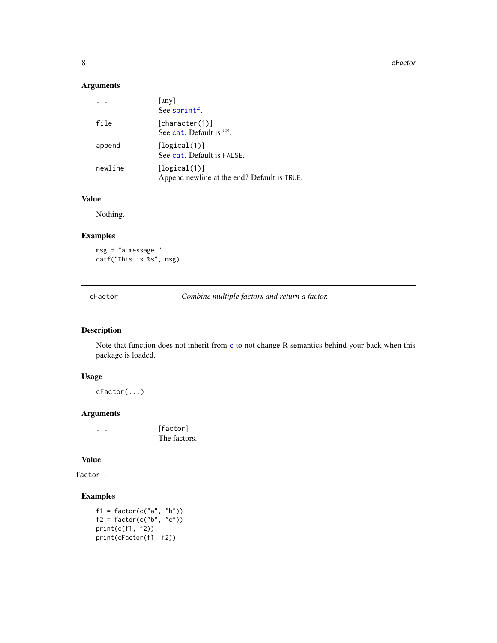<span id="page-7-0"></span>8 cFactor control of the control of the control of the control of the control of the control of the control of the control of the control of the control of the control of the control of the control of the control of the co

# Arguments

|         | [any]<br>See sprintf.                                       |
|---------|-------------------------------------------------------------|
| file    | [character(1)]<br>See cat. Default is "".                   |
| append  | [logical(1)]<br>See cat. Default is FALSE.                  |
| newline | [logical(1)]<br>Append newline at the end? Default is TRUE. |

# Value

Nothing.

# Examples

msg = "a message." catf("This is %s", msg)

cFactor *Combine multiple factors and return a factor.*

# Description

Note that function does not inherit from [c](#page-0-0) to not change R semantics behind your back when this package is loaded.

# Usage

cFactor(...)

# Arguments

... [factor] The factors.

### Value

factor .

# Examples

```
f1 = factor(c("a", "b"))f2 = factor(c("b", "c"))print(c(f1, f2))
print(cFactor(f1, f2))
```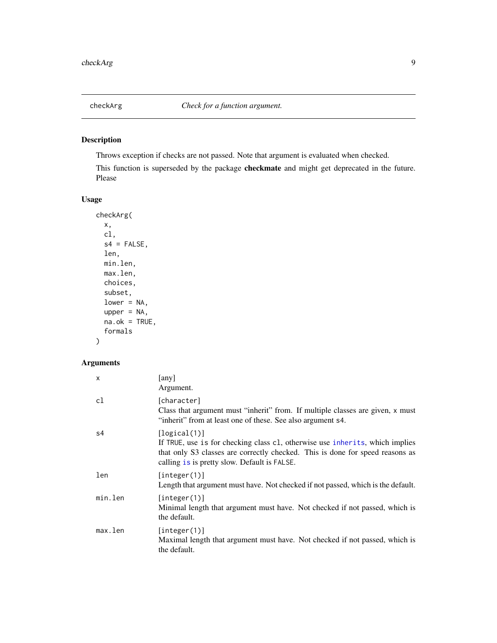<span id="page-8-0"></span>

Throws exception if checks are not passed. Note that argument is evaluated when checked.

This function is superseded by the package checkmate and might get deprecated in the future. Please

# Usage

```
checkArg(
 x,
 cl,
  s4 = FALSE,len,
 min.len,
 max.len,
 choices,
  subset,
  lower = NA,upper = NA,
 na.ok =TRUE,
  formals
)
```

| $\mathsf{x}$ | [any]<br>Argument.                                                                                                                                                                                                            |
|--------------|-------------------------------------------------------------------------------------------------------------------------------------------------------------------------------------------------------------------------------|
| c1           | [character]<br>Class that argument must "inherit" from. If multiple classes are given, x must<br>"inherit" from at least one of these. See also argument s4.                                                                  |
| s4           | [logical(1)]<br>If TRUE, use is for checking class c1, otherwise use inherits, which implies<br>that only S3 classes are correctly checked. This is done for speed reasons as<br>calling is is pretty slow. Default is FALSE. |
| len          | [interger(1)]<br>Length that argument must have. Not checked if not passed, which is the default.                                                                                                                             |
| min.len      | [interer(1)]<br>Minimal length that argument must have. Not checked if not passed, which is<br>the default.                                                                                                                   |
| max.len      | [integer(1)]<br>Maximal length that argument must have. Not checked if not passed, which is<br>the default.                                                                                                                   |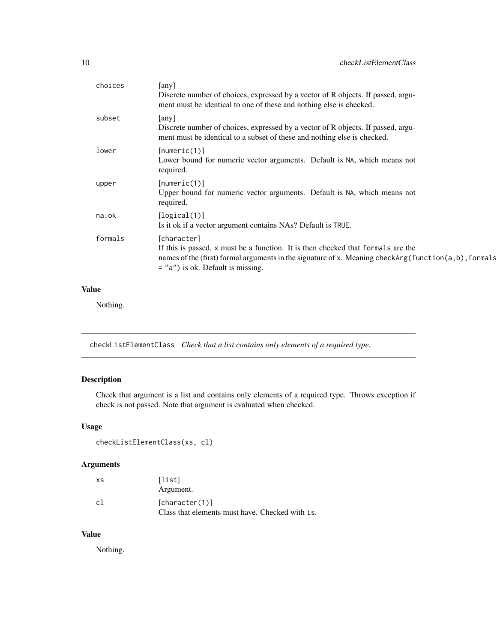<span id="page-9-0"></span>

| choices | [any]<br>Discrete number of choices, expressed by a vector of R objects. If passed, argu-<br>ment must be identical to one of these and nothing else is checked.                                                                                     |
|---------|------------------------------------------------------------------------------------------------------------------------------------------------------------------------------------------------------------------------------------------------------|
| subset  | [any]<br>Discrete number of choices, expressed by a vector of R objects. If passed, argu-<br>ment must be identical to a subset of these and nothing else is checked.                                                                                |
| lower   | [numeric(1)]<br>Lower bound for numeric vector arguments. Default is NA, which means not<br>required.                                                                                                                                                |
| upper   | [numeric(1)]<br>Upper bound for numeric vector arguments. Default is NA, which means not<br>required.                                                                                                                                                |
| na.ok   | [logical(1)]<br>Is it ok if a vector argument contains NAs? Default is TRUE.                                                                                                                                                                         |
| formals | [character]<br>If this is passed, x must be a function. It is then checked that formals are the<br>names of the (first) formal arguments in the signature of x. Meaning checkarg (function $(a, b)$ , formals<br>$=$ "a") is ok. Default is missing. |
|         |                                                                                                                                                                                                                                                      |

### Value

Nothing.

checkListElementClass *Check that a list contains only elements of a required type.*

# Description

Check that argument is a list and contains only elements of a required type. Throws exception if check is not passed. Note that argument is evaluated when checked.

# Usage

```
checkListElementClass(xs, cl)
```
# Arguments

| XS | [list]<br>Argument.                                               |
|----|-------------------------------------------------------------------|
| c1 | [character(1)]<br>Class that elements must have. Checked with is. |

### Value

Nothing.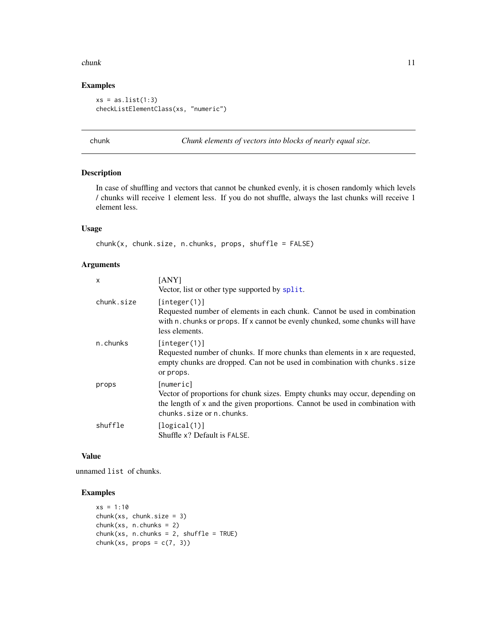#### <span id="page-10-0"></span>chunk 11

### Examples

```
xs = as.list(1:3)checkListElementClass(xs, "numeric")
```
chunk *Chunk elements of vectors into blocks of nearly equal size.*

# Description

In case of shuffling and vectors that cannot be chunked evenly, it is chosen randomly which levels / chunks will receive 1 element less. If you do not shuffle, always the last chunks will receive 1 element less.

# Usage

```
chunk(x, chunk.size, n.chunks, props, shuffle = FALSE)
```
### Arguments

| X          | <b>TANYI</b><br>Vector, list or other type supported by split.                                                                                                                                        |
|------------|-------------------------------------------------------------------------------------------------------------------------------------------------------------------------------------------------------|
| chunk.size | [integer(1)]<br>Requested number of elements in each chunk. Cannot be used in combination<br>with n. chunks or props. If x cannot be evenly chunked, some chunks will have<br>less elements.          |
| n.chunks   | [integer(1)]<br>Requested number of chunks. If more chunks than elements in x are requested,<br>empty chunks are dropped. Can not be used in combination with chunks. size<br>or props.               |
| props      | [numeric]<br>Vector of proportions for chunk sizes. Empty chunks may occur, depending on<br>the length of x and the given proportions. Cannot be used in combination with<br>chunks.size or n.chunks. |
| shuffle    | [logical(1)]<br>Shuffle x? Default is FALSE.                                                                                                                                                          |

### Value

unnamed list of chunks.

#### Examples

```
xs = 1:10chunk(xs, chunk.size = 3)chunk(xs, n.chunks = 2)chunk(xs, n.chunks = 2, shuffle = TRUE)chunk(xs, props = c(7, 3))
```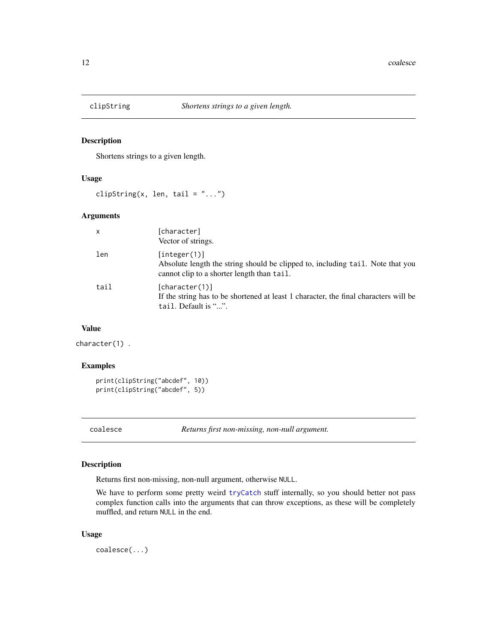<span id="page-11-1"></span><span id="page-11-0"></span>

Shortens strings to a given length.

# Usage

clipString(x, len, tail =  $"...")$ 

### Arguments

| $\mathsf{x}$ | [character]<br>Vector of strings.                                                                                                            |
|--------------|----------------------------------------------------------------------------------------------------------------------------------------------|
| len          | [interer(1)]<br>Absolute length the string should be clipped to, including tail. Note that you<br>cannot clip to a shorter length than tail. |
| tail         | [character(1)]<br>If the string has to be shortened at least 1 character, the final characters will be<br>tail. Default is "".               |

#### Value

character(1) .

# Examples

```
print(clipString("abcdef", 10))
print(clipString("abcdef", 5))
```
coalesce *Returns first non-missing, non-null argument.*

# Description

Returns first non-missing, non-null argument, otherwise NULL.

We have to perform some pretty weird [tryCatch](#page-0-0) stuff internally, so you should better not pass complex function calls into the arguments that can throw exceptions, as these will be completely muffled, and return NULL in the end.

### Usage

coalesce(...)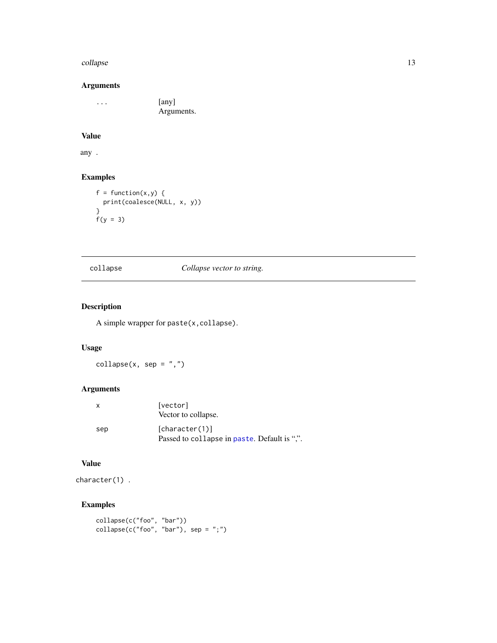#### <span id="page-12-0"></span>collapse the collapse that the collapse the collapse that the collapse that the collapse that  $13$

# Arguments

... [any] Arguments.

# Value

any .

# Examples

```
f = function(x, y) {
 print(coalesce(NULL, x, y))
}
f(y = 3)
```
# <span id="page-12-1"></span>collapse *Collapse vector to string.*

# Description

A simple wrapper for paste(x,collapse).

# Usage

 $\text{collapse}(x, \text{ sep} = ", ")$ 

# Arguments

| х   | [vector]<br>Vector to collapse.                                |
|-----|----------------------------------------------------------------|
| sep | [character(1)]<br>Passed to collapse in paste. Default is ".". |

### Value

character(1) .

# Examples

```
collapse(c("foo", "bar"))
\text{collapse}(c("foo", "bar"), \text{sep} = ";")
```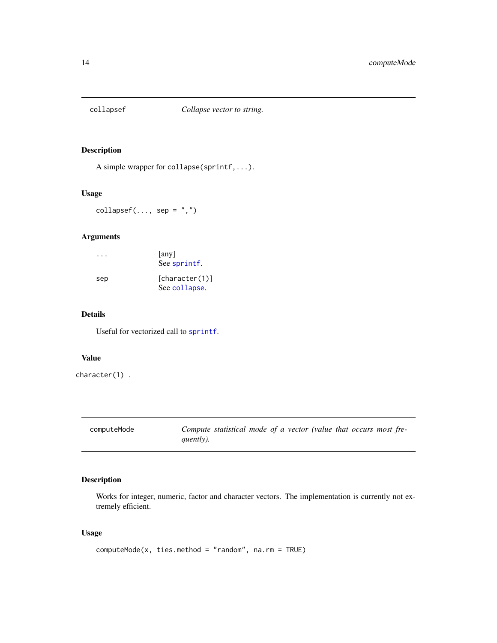<span id="page-13-0"></span>

A simple wrapper for collapse(sprintf,...).

#### Usage

 $collapsef(..., sep = ",")$ 

# Arguments

|     | [any]<br>See sprintf.           |
|-----|---------------------------------|
| sep | [character(1)]<br>See collapse. |

# Details

Useful for vectorized call to [sprintf](#page-0-0).

### Value

character(1) .

computeMode *Compute statistical mode of a vector (value that occurs most frequently).*

### Description

Works for integer, numeric, factor and character vectors. The implementation is currently not extremely efficient.

### Usage

computeMode(x, ties.method = "random", na.rm = TRUE)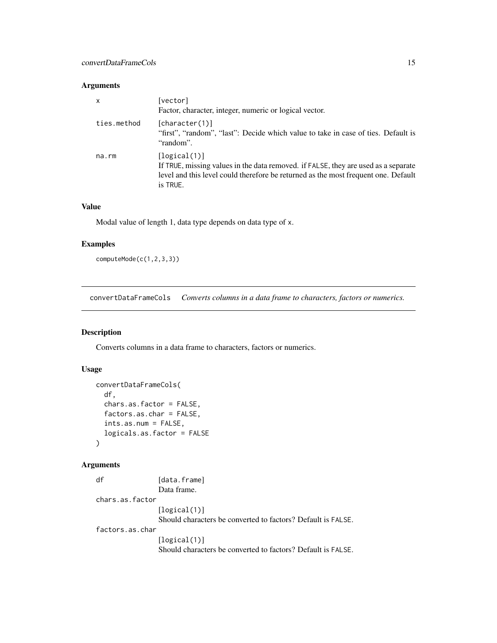# <span id="page-14-0"></span>Arguments

| $\mathsf{x}$ | [vector]<br>Factor, character, integer, numeric or logical vector.                                                                                                                                   |
|--------------|------------------------------------------------------------------------------------------------------------------------------------------------------------------------------------------------------|
| ties.method  | [character(1)]<br>"first", "random", "last": Decide which value to take in case of ties. Default is<br>"random".                                                                                     |
| $na$ . $rm$  | [logical(1)]<br>If TRUE, missing values in the data removed. if FALSE, they are used as a separate<br>level and this level could therefore be returned as the most frequent one. Default<br>is TRUE. |

# Value

Modal value of length 1, data type depends on data type of x.

# Examples

computeMode(c(1,2,3,3))

convertDataFrameCols *Converts columns in a data frame to characters, factors or numerics.*

# Description

Converts columns in a data frame to characters, factors or numerics.

# Usage

```
convertDataFrameCols(
 df,
 chars.as.factor = FALSE,
 factors.as.char = FALSE,
 ints.as.num = FALSE,
 logicals.as.factor = FALSE
)
```

| df              | [data.frame]                                                 |
|-----------------|--------------------------------------------------------------|
|                 | Data frame.                                                  |
| chars.as.factor |                                                              |
|                 | [logical(1)]                                                 |
|                 | Should characters be converted to factors? Default is FALSE. |
| factors.as.char |                                                              |
|                 | [logical(1)]                                                 |
|                 | Should characters be converted to factors? Default is FALSE. |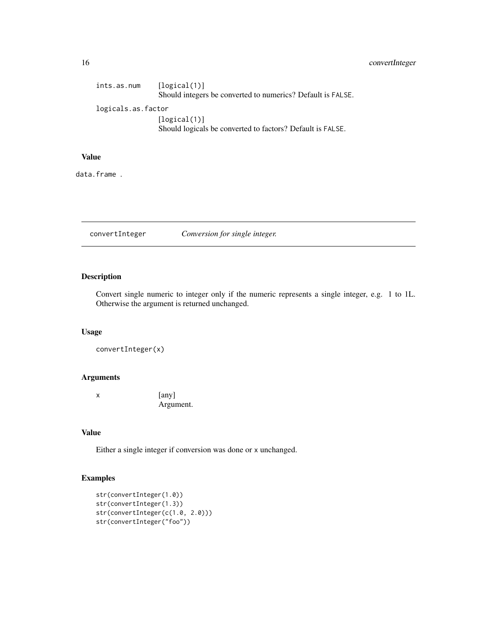# <span id="page-15-0"></span>16 convertInteger

| ints.as.num        | [logical(1)]<br>Should integers be converted to numerics? Default is FALSE. |
|--------------------|-----------------------------------------------------------------------------|
| logicals.as.factor |                                                                             |
|                    | [logical(1)]<br>Should logicals be converted to factors? Default is FALSE.  |

# Value

data.frame .

convertInteger *Conversion for single integer.*

# Description

Convert single numeric to integer only if the numeric represents a single integer, e.g. 1 to 1L. Otherwise the argument is returned unchanged.

# Usage

```
convertInteger(x)
```
# Arguments

x [any] Argument.

#### Value

Either a single integer if conversion was done or x unchanged.

# Examples

```
str(convertInteger(1.0))
str(convertInteger(1.3))
str(convertInteger(c(1.0, 2.0)))
str(convertInteger("foo"))
```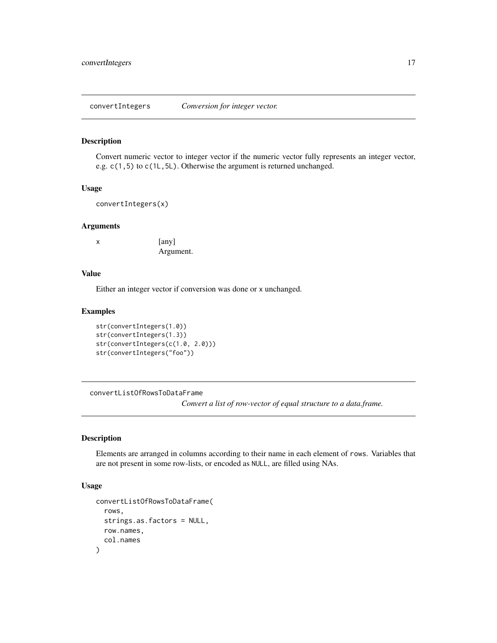<span id="page-16-0"></span>convertIntegers *Conversion for integer vector.*

#### Description

Convert numeric vector to integer vector if the numeric vector fully represents an integer vector, e.g. c(1,5) to c(1L,5L). Otherwise the argument is returned unchanged.

#### Usage

convertIntegers(x)

#### Arguments

x [any] Argument.

### Value

Either an integer vector if conversion was done or x unchanged.

#### Examples

```
str(convertIntegers(1.0))
str(convertIntegers(1.3))
str(convertIntegers(c(1.0, 2.0)))
str(convertIntegers("foo"))
```
convertListOfRowsToDataFrame

*Convert a list of row-vector of equal structure to a data.frame.*

# Description

Elements are arranged in columns according to their name in each element of rows. Variables that are not present in some row-lists, or encoded as NULL, are filled using NAs.

#### Usage

```
convertListOfRowsToDataFrame(
  rows,
  strings.as.factors = NULL,
  row.names,
  col.names
)
```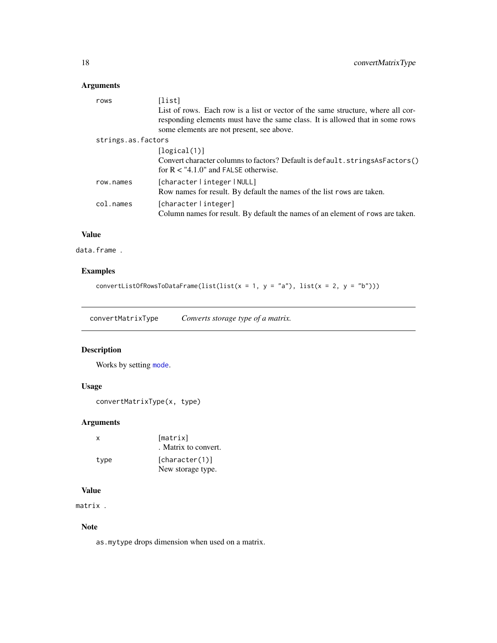# <span id="page-17-0"></span>Arguments

| rows               | [list]<br>List of rows. Each row is a list or vector of the same structure, where all cor-<br>responding elements must have the same class. It is allowed that in some rows<br>some elements are not present, see above. |
|--------------------|--------------------------------------------------------------------------------------------------------------------------------------------------------------------------------------------------------------------------|
| strings.as.factors |                                                                                                                                                                                                                          |
|                    | [logical(1)]                                                                                                                                                                                                             |
|                    | Convert character columns to factors? Default is default.stringsAsFactors()<br>for $R < "4.1.0"$ and FALSE otherwise.                                                                                                    |
| row.names          | [characterlintegerlNULL]                                                                                                                                                                                                 |
|                    | Row names for result. By default the names of the list rows are taken.                                                                                                                                                   |
| col.names          | [character   integer]<br>Column names for result. By default the names of an element of rows are taken.                                                                                                                  |

# Value

data.frame .

# Examples

convertListOfRowsToDataFrame(list(list(x = 1, y = "a"), list(x = 2, y = "b")))

convertMatrixType *Converts storage type of a matrix.*

# Description

Works by setting [mode](#page-0-0).

# Usage

```
convertMatrixType(x, type)
```
# Arguments

| $\mathsf{x}$ | [matrix]<br>. Matrix to convert.    |
|--------------|-------------------------------------|
| type         | [character(1)]<br>New storage type. |

### Value

matrix .

# Note

as.mytype drops dimension when used on a matrix.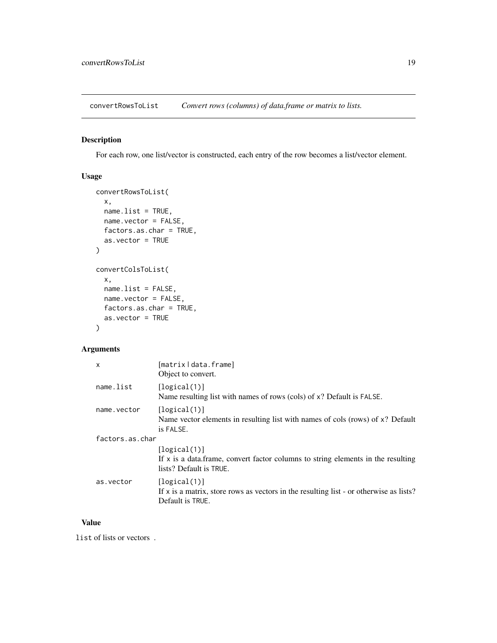<span id="page-18-0"></span>convertRowsToList *Convert rows (columns) of data.frame or matrix to lists.*

# Description

For each row, one list/vector is constructed, each entry of the row becomes a list/vector element.

# Usage

```
convertRowsToList(
  x,
 name.list = TRUE,
 name.vector = FALSE,
  factors.as.char = TRUE,
  as.vector = TRUE
)
convertColsToList(
 x,
 name.list = FALSE,
 name.vector = FALSE,
 factors.as.char = TRUE,
 as.vector = TRUE
)
```
# Arguments

| $\mathsf{x}$    | [matrix   data.frame]<br>Object to convert.                                                                                    |  |
|-----------------|--------------------------------------------------------------------------------------------------------------------------------|--|
| name.list       | [logical(1)]<br>Name resulting list with names of rows (cols) of x? Default is FALSE.                                          |  |
| name.vector     | [logical(1)]<br>Name vector elements in resulting list with names of cols (rows) of x? Default<br>is FALSE.                    |  |
| factors.as.char |                                                                                                                                |  |
|                 | [logical(1)]<br>If $x$ is a data. frame, convert factor columns to string elements in the resulting<br>lists? Default is TRUE. |  |
| as.vector       | [logical(1)]<br>If $x$ is a matrix, store rows as vectors in the resulting list - or otherwise as lists?<br>Default is TRUE.   |  |

# Value

list of lists or vectors .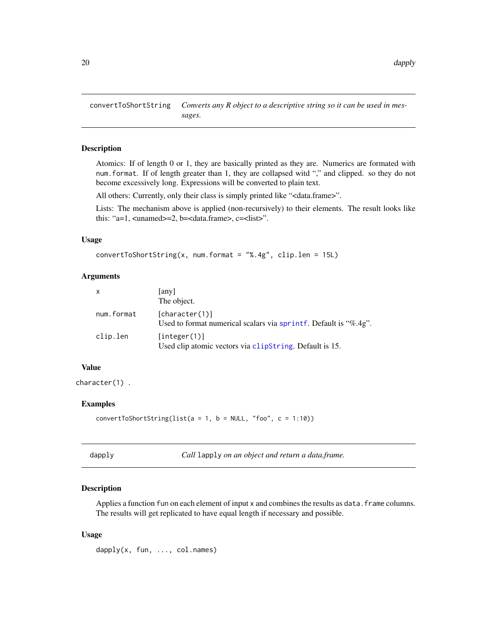<span id="page-19-0"></span>convertToShortString *Converts any R object to a descriptive string so it can be used in messages.*

### Description

Atomics: If of length 0 or 1, they are basically printed as they are. Numerics are formated with num.format. If of length greater than 1, they are collapsed witd "," and clipped. so they do not become excessively long. Expressions will be converted to plain text.

All others: Currently, only their class is simply printed like "<data.frame>".

Lists: The mechanism above is applied (non-recursively) to their elements. The result looks like this: "a=1, <unamed>=2, b=<data.frame>, c=<list>".

#### Usage

```
convertToShortString(x, num.format = "%.4g", clip.len = 15L)
```
#### Arguments

| $\mathsf{x}$ | [any]<br>The object.                                                               |
|--------------|------------------------------------------------------------------------------------|
| num.format   | [character(1)]<br>Used to format numerical scalars via sprintf. Default is "%.4g". |
| clip.len     | [integer(1)]<br>Used clip atomic vectors via clipString. Default is 15.            |

# Value

character(1) .

#### Examples

convertToShortString(list( $a = 1$ ,  $b = NULL$ , "foo",  $c = 1:10$ ))

| r<br>. .<br>×. |  |
|----------------|--|
|----------------|--|

dapply *Call* lapply *on an object and return a data.frame.*

#### Description

Applies a function fun on each element of input x and combines the results as data. frame columns. The results will get replicated to have equal length if necessary and possible.

#### Usage

dapply(x, fun, ..., col.names)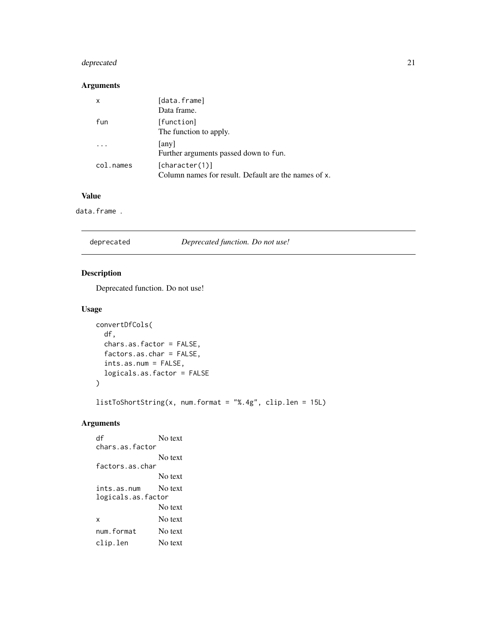# <span id="page-20-0"></span>deprecated 21

# Arguments

| X         | [data.frame]<br>Data frame.                                            |
|-----------|------------------------------------------------------------------------|
| fun       | [function]<br>The function to apply.                                   |
|           | [any]<br>Further arguments passed down to fun.                         |
| col.names | [character(1)]<br>Column names for result. Default are the names of x. |

### Value

data.frame .

| deprecated | Deprecated function. Do not use! |  |
|------------|----------------------------------|--|
|            |                                  |  |

# Description

Deprecated function. Do not use!

# Usage

```
convertDfCols(
 df,
 chars.as.factor = FALSE,
 factors.as.char = FALSE,
 ints.as.num = FALSE,
 logicals.as.factor = FALSE
)
```
listToShortString(x, num.format = "%.4g", clip.len = 15L)

# Arguments

df No text chars.as.factor No text factors.as.char No text ints.as.num No text logicals.as.factor No text x No text num.format No text clip.len No text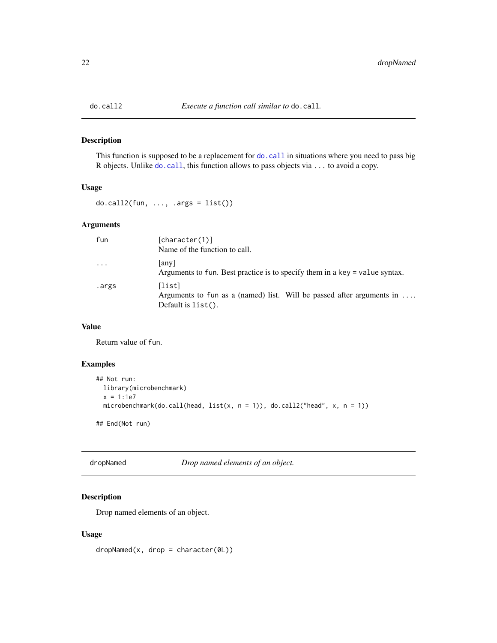<span id="page-21-0"></span>

This function is supposed to be a replacement for do. call in situations where you need to pass big R objects. Unlike [do.call](#page-0-0), this function allows to pass objects via ... to avoid a copy.

### Usage

 $do-call2(fun, ..., args = list())$ 

### Arguments

| fun   | [character(1)]                                                                                           |
|-------|----------------------------------------------------------------------------------------------------------|
|       | Name of the function to call.                                                                            |
| .     | any <br>Arguments to fun. Best practice is to specify them in a key = value syntax.                      |
| .args | [list]<br>Arguments to fun as a (named) list. Will be passed after arguments in<br>Default is $list()$ . |

# Value

Return value of fun.

### Examples

```
## Not run:
 library(microbenchmark)
 x = 1:1e7microbenchmark(do.call(head, list(x, n = 1)), do.call2("head", x, n = 1))
## End(Not run)
```
dropNamed *Drop named elements of an object.*

# Description

Drop named elements of an object.

### Usage

 $dropNamed(x, drop = character(0L))$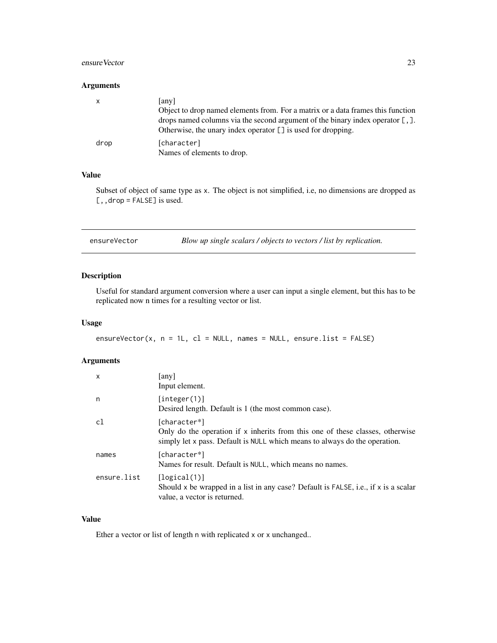### <span id="page-22-0"></span>ensureVector 23

#### Arguments

| X    | [any]                                                                           |
|------|---------------------------------------------------------------------------------|
|      | Object to drop named elements from. For a matrix or a data frames this function |
|      | drops named columns via the second argument of the binary index operator [, ].  |
|      | Otherwise, the unary index operator $\lceil \cdot \rceil$ is used for dropping. |
| drop | [character]                                                                     |
|      | Names of elements to drop.                                                      |

# Value

Subset of object of same type as x. The object is not simplified, i.e, no dimensions are dropped as [,, drop = FALSE] is used.

| ensureVector |  | Blow up single scalars / objects to vectors / list by replication. |  |
|--------------|--|--------------------------------------------------------------------|--|
|--------------|--|--------------------------------------------------------------------|--|

# Description

Useful for standard argument conversion where a user can input a single element, but this has to be replicated now n times for a resulting vector or list.

### Usage

```
ensureVector(x, n = 1L, c1 = NULL, names = NULL, ensure.list = FALSE)
```
# Arguments

| $\mathsf{x}$ | any<br>Input element.                                                                                                                                                         |
|--------------|-------------------------------------------------------------------------------------------------------------------------------------------------------------------------------|
| n            | [interer(1)]<br>Desired length. Default is 1 (the most common case).                                                                                                          |
| c1           | [character*]<br>Only do the operation if $x$ inherits from this one of these classes, otherwise<br>simply let x pass. Default is NULL which means to always do the operation. |
| names        | [character*]<br>Names for result. Default is NULL, which means no names.                                                                                                      |
| ensure.list  | [logical(1)]<br>Should x be wrapped in a list in any case? Default is FALSE, i.e., if x is a scalar<br>value, a vector is returned.                                           |

# Value

Ether a vector or list of length n with replicated x or x unchanged..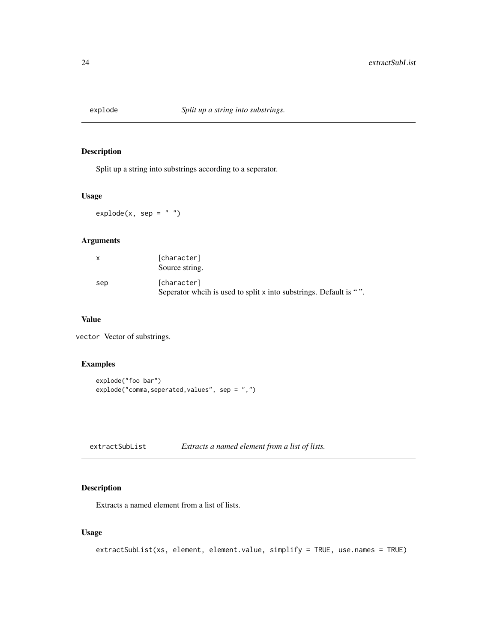<span id="page-23-0"></span>

Split up a string into substrings according to a seperator.

# Usage

 $expnode(x, sep = "")$ 

# Arguments

| $\mathsf{x}$ | [character]<br>Source string.                                                     |
|--------------|-----------------------------------------------------------------------------------|
| sep          | [character]<br>Seperator wheth is used to split x into substrings. Default is "". |

### Value

vector Vector of substrings.

### Examples

```
explode("foo bar")
explode("comma,seperated,values", sep = ",")
```

| extractSubList | Extracts a named element from a list of lists. |  |
|----------------|------------------------------------------------|--|
|                |                                                |  |

# Description

Extracts a named element from a list of lists.

# Usage

```
extractSubList(xs, element, element.value, simplify = TRUE, use.names = TRUE)
```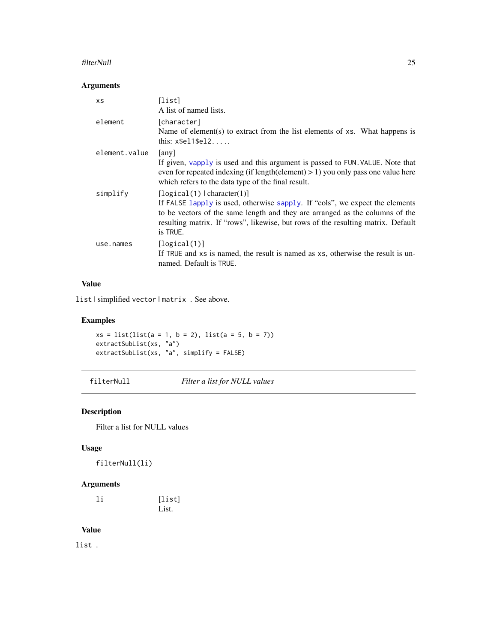#### <span id="page-24-0"></span>filterNull 25

# Arguments

| XS            | [list]<br>A list of named lists.                                                                                                                                                                                                                                                            |
|---------------|---------------------------------------------------------------------------------------------------------------------------------------------------------------------------------------------------------------------------------------------------------------------------------------------|
| element       | [character]<br>Name of element(s) to extract from the list elements of xs. What happens is<br>this: $x$e11$e12$                                                                                                                                                                             |
| element.value | [any]<br>If given, vapply is used and this argument is passed to FUN. VALUE. Note that<br>even for repeated indexing (if length (element) $> 1$ ) you only pass one value here<br>which refers to the data type of the final result.                                                        |
| simplify      | [logical(1)   character(1)]<br>If FALSE lapply is used, otherwise sapply. If "cols", we expect the elements<br>to be vectors of the same length and they are arranged as the columns of the<br>resulting matrix. If "rows", likewise, but rows of the resulting matrix. Default<br>is TRUE. |
| use.names     | [logical(1)]<br>If TRUE and xs is named, the result is named as xs, otherwise the result is un-<br>named. Default is TRUE.                                                                                                                                                                  |

# Value

list | simplified vector | matrix . See above.

# Examples

```
xs = list(list(a = 1, b = 2), list(a = 5, b = 7))extractSubList(xs, "a")
extractSubList(xs, "a", simplify = FALSE)
```
filterNull *Filter a list for NULL values*

# Description

Filter a list for NULL values

# Usage

filterNull(li)

# Arguments

| 1i | [list] |
|----|--------|
|    | List.  |

# Value

list .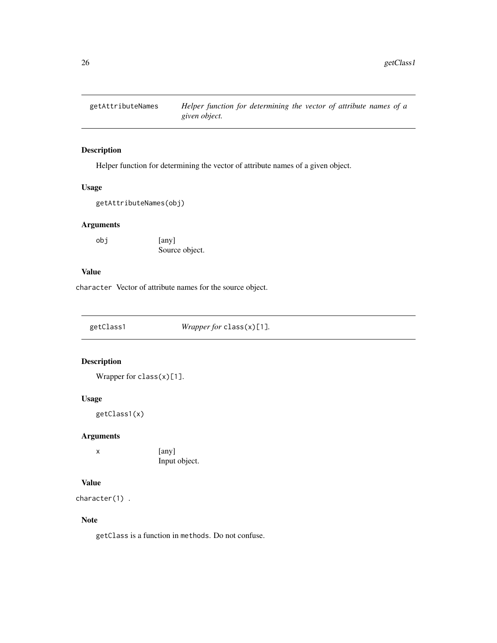<span id="page-25-0"></span>

Helper function for determining the vector of attribute names of a given object.

# Usage

```
getAttributeNames(obj)
```
# Arguments

obj [any] Source object.

### Value

character Vector of attribute names for the source object.

getClass1 *Wrapper for* class(x)[1]*.*

# Description

Wrapper for  $class(x)[1]$ .

# Usage

getClass1(x)

### Arguments

x [any] Input object.

### Value

character(1) .

# Note

getClass is a function in methods. Do not confuse.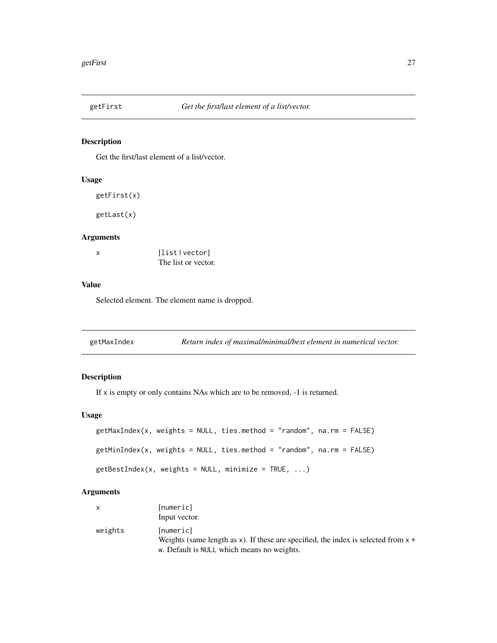<span id="page-26-0"></span>

Get the first/last element of a list/vector.

# Usage

```
getFirst(x)
```
getLast(x)

# Arguments

| x | [list   vector]     |
|---|---------------------|
|   | The list or vector. |

#### Value

Selected element. The element name is dropped.

<span id="page-26-1"></span>

| getMaxIndex | Return index of maximal/minimal/best element in numerical vector. |  |
|-------------|-------------------------------------------------------------------|--|
|-------------|-------------------------------------------------------------------|--|

# Description

If x is empty or only contains NAs which are to be removed, -1 is returned.

# Usage

```
getMaxIndex(x, weights = NULL, ties.method = "random", na.rm = FALSE)
getMinIndex(x, weights = NULL, ties.method = "random", na.rm = FALSE)
getBestIndex(x, weights = NULL, minimize = TRUE, ...)
```

|         | [numeric]                                                                            |
|---------|--------------------------------------------------------------------------------------|
|         | Input vector.                                                                        |
| weights | [numeric]                                                                            |
|         | Weights (same length as x). If these are specified, the index is selected from $x *$ |
|         | w. Default is NULL which means no weights.                                           |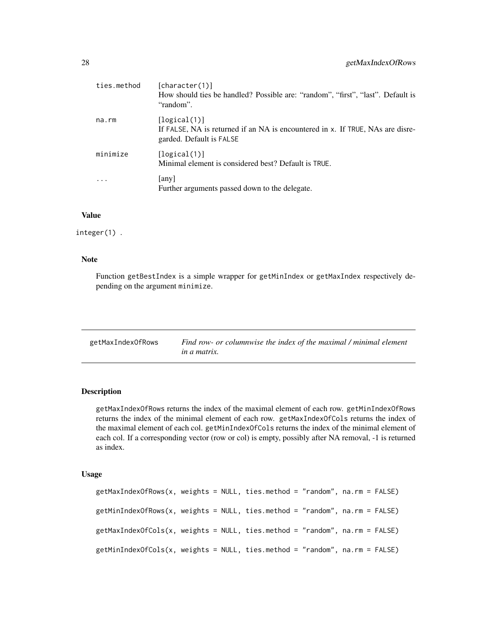<span id="page-27-0"></span>

| ties.method | [character(1)]<br>How should ties be handled? Possible are: "random", "first", "last". Default is<br>"random".             |
|-------------|----------------------------------------------------------------------------------------------------------------------------|
| na.rm       | [logical(1)]<br>If FALSE, NA is returned if an NA is encountered in x. If TRUE, NAs are disre-<br>garded. Default is FALSE |
| minimize    | [logical(1)]<br>Minimal element is considered best? Default is TRUE.                                                       |
|             | [any]<br>Further arguments passed down to the delegate.                                                                    |

#### Value

integer(1) .

#### Note

Function getBestIndex is a simple wrapper for getMinIndex or getMaxIndex respectively depending on the argument minimize.

| getMaxIndexOfRows | Find row- or columnwise the index of the maximal / minimal element |
|-------------------|--------------------------------------------------------------------|
|                   | <i>in a matrix.</i>                                                |

# Description

getMaxIndexOfRows returns the index of the maximal element of each row. getMinIndexOfRows returns the index of the minimal element of each row. getMaxIndexOfCols returns the index of the maximal element of each col. getMinIndexOfCols returns the index of the minimal element of each col. If a corresponding vector (row or col) is empty, possibly after NA removal, -1 is returned as index.

### Usage

```
getMaxIndexOfRows(x, weights = NULL, ties.method = "random", na.rm = FALSE)
getMinIndexOfRows(x, weights = NULL, ties.method = "random", na.rm = FALSE)
getMaxIndexOfCols(x, weights = NULL, ties.method = "random", na.rm = FALSE)
getMinIndexOfCols(x, weights = NULL, ties.method = "random", na.rm = FALSE)
```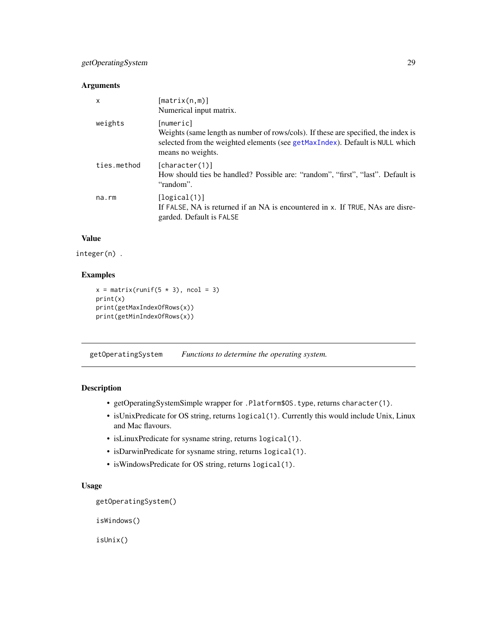### <span id="page-28-0"></span>Arguments

| X           | $[\text{matrix}(n,m)]$<br>Numerical input matrix.                                                                                                                                                    |
|-------------|------------------------------------------------------------------------------------------------------------------------------------------------------------------------------------------------------|
| weights     | [numeric]<br>Weights (same length as number of rows/cols). If these are specified, the index is<br>selected from the weighted elements (see getMaxIndex). Default is NULL which<br>means no weights. |
| ties.method | [character(1)]<br>How should ties be handled? Possible are: "random", "first", "last". Default is<br>"random".                                                                                       |
| na.rm       | $\lceil \logical(1) \rceil$<br>If FALSE, NA is returned if an NA is encountered in x. If TRUE, NAs are disre-<br>garded. Default is FALSE                                                            |

# Value

```
integer(n) .
```
# Examples

```
x = matrix(runif(5 * 3), ncol = 3)print(x)
print(getMaxIndexOfRows(x))
print(getMinIndexOfRows(x))
```
getOperatingSystem *Functions to determine the operating system.*

# Description

- getOperatingSystemSimple wrapper for .Platform\$OS.type, returns character(1).
- isUnixPredicate for OS string, returns logical(1). Currently this would include Unix, Linux and Mac flavours.
- isLinuxPredicate for sysname string, returns logical(1).
- isDarwinPredicate for sysname string, returns logical(1).
- isWindowsPredicate for OS string, returns logical(1).

# Usage

```
getOperatingSystem()
```
isWindows()

isUnix()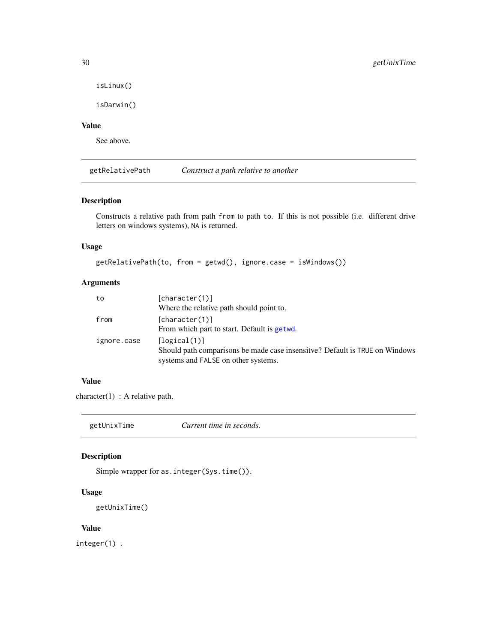```
isLinux()
```
isDarwin()

# Value

See above.

getRelativePath *Construct a path relative to another*

# Description

Constructs a relative path from path from to path to. If this is not possible (i.e. different drive letters on windows systems), NA is returned.

### Usage

```
getRelativePath(to, from = getwd(), ignore.case = isWindows())
```
# Arguments

| to          | [character(1)]                                                               |
|-------------|------------------------------------------------------------------------------|
|             | Where the relative path should point to.                                     |
| from        | [character(1)]                                                               |
|             | From which part to start. Default is getwd.                                  |
| ignore.case | [logical(1)]                                                                 |
|             | Should path comparisons be made case insensity e? Default is TRUE on Windows |
|             | systems and FALSE on other systems.                                          |

# Value

character(1) : A relative path.

getUnixTime *Current time in seconds.*

# Description

Simple wrapper for as.integer(Sys.time()).

#### Usage

```
getUnixTime()
```
### Value

integer(1) .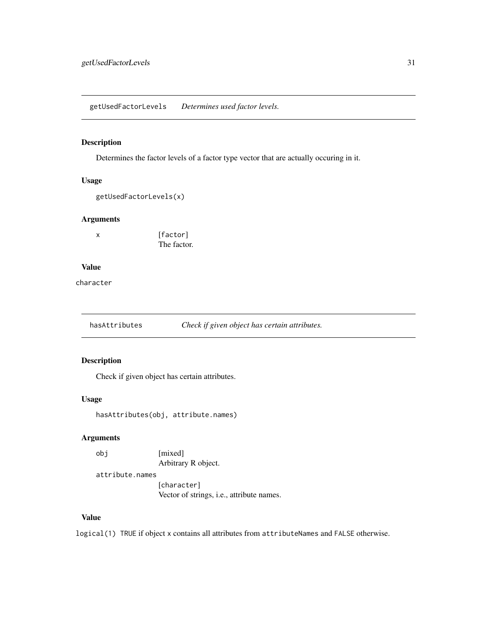<span id="page-30-0"></span>getUsedFactorLevels *Determines used factor levels.*

# Description

Determines the factor levels of a factor type vector that are actually occuring in it.

### Usage

```
getUsedFactorLevels(x)
```
# Arguments

x [factor] The factor.

#### Value

character

hasAttributes *Check if given object has certain attributes.*

# Description

Check if given object has certain attributes.

### Usage

```
hasAttributes(obj, attribute.names)
```
# Arguments

obj [mixed]

Arbitrary R object.

attribute.names

[character] Vector of strings, i.e., attribute names.

# Value

logical(1) TRUE if object x contains all attributes from attributeNames and FALSE otherwise.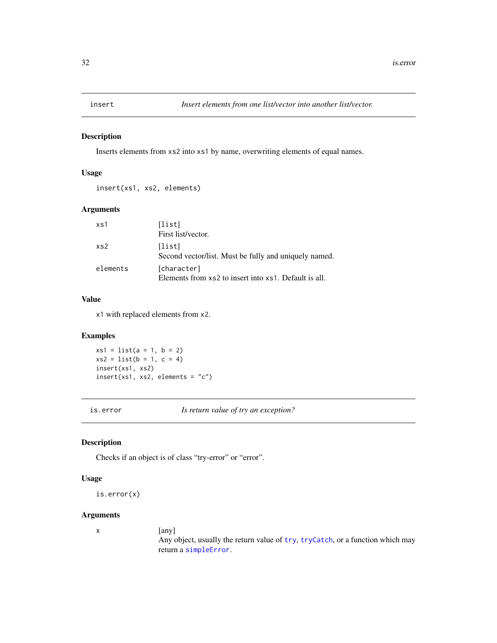<span id="page-31-0"></span>

Inserts elements from xs2 into xs1 by name, overwriting elements of equal names.

#### Usage

insert(xs1, xs2, elements)

# Arguments

| xs1      | [list]<br>First list/vector.                                         |
|----------|----------------------------------------------------------------------|
| xs2      | [list]<br>Second vector/list. Must be fully and uniquely named.      |
| elements | [character]<br>Elements from xs2 to insert into xs1. Default is all. |

# Value

x1 with replaced elements from x2.

### Examples

 $xs1 = list(a = 1, b = 2)$  $xs2 = list(b = 1, c = 4)$ insert(xs1, xs2)  $insert(xs1, xs2, elements = "c")$ 

is.error *Is return value of try an exception?*

### Description

Checks if an object is of class "try-error" or "error".

#### Usage

is.error(x)

#### Arguments

x [any]

Any object, usually the return value of [try](#page-0-0), [tryCatch](#page-0-0), or a function which may return a [simpleError](#page-0-0).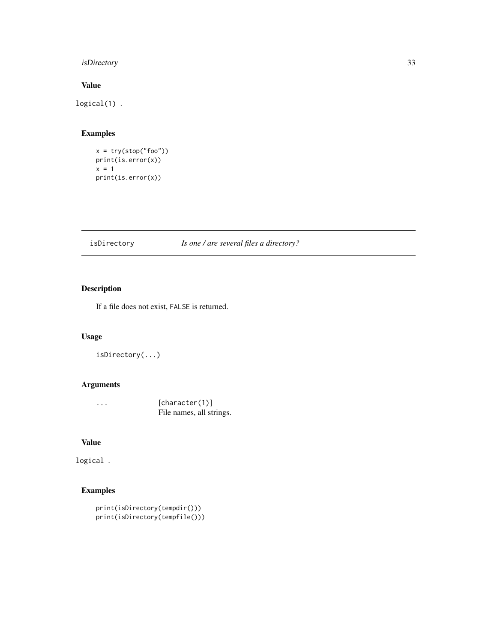# <span id="page-32-0"></span>isDirectory 33

# Value

logical(1) .

# Examples

```
x = try(stop("foo"))
print(is.error(x))
x = 1print(is.error(x))
```
# isDirectory *Is one / are several files a directory?*

# Description

If a file does not exist, FALSE is returned.

# Usage

```
isDirectory(...)
```
# Arguments

| $\cdot$ | [character(1)]           |
|---------|--------------------------|
|         | File names, all strings. |

# Value

logical .

# Examples

```
print(isDirectory(tempdir()))
print(isDirectory(tempfile()))
```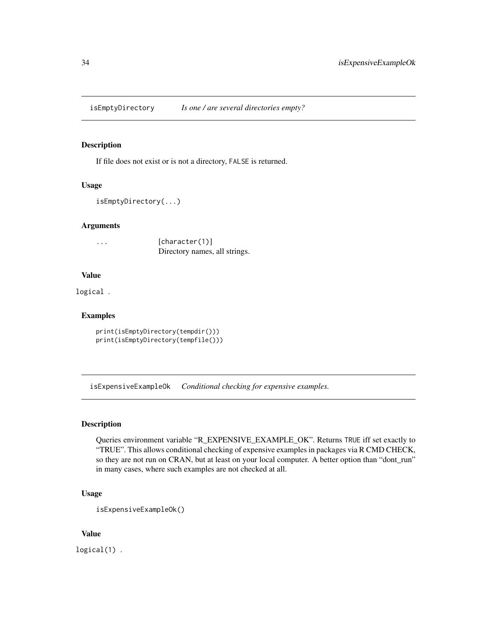<span id="page-33-0"></span>isEmptyDirectory *Is one / are several directories empty?*

#### Description

If file does not exist or is not a directory, FALSE is returned.

#### Usage

```
isEmptyDirectory(...)
```
#### Arguments

... [character(1)] Directory names, all strings.

#### Value

logical .

# Examples

```
print(isEmptyDirectory(tempdir()))
print(isEmptyDirectory(tempfile()))
```
isExpensiveExampleOk *Conditional checking for expensive examples.*

### Description

Queries environment variable "R\_EXPENSIVE\_EXAMPLE\_OK". Returns TRUE iff set exactly to "TRUE". This allows conditional checking of expensive examples in packages via R CMD CHECK, so they are not run on CRAN, but at least on your local computer. A better option than "dont\_run" in many cases, where such examples are not checked at all.

### Usage

```
isExpensiveExampleOk()
```
#### Value

logical(1) .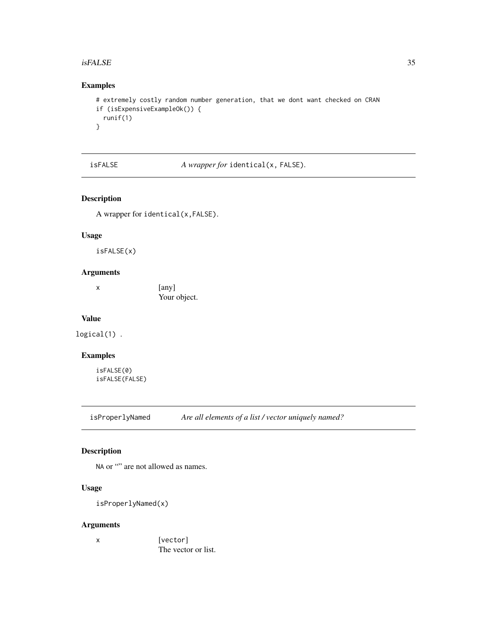#### <span id="page-34-0"></span> $isFALSE$  35

# Examples

```
# extremely costly random number generation, that we dont want checked on CRAN
if (isExpensiveExampleOk()) {
  runif(1)
}
```
isFALSE *A wrapper for* identical(x, FALSE)*.*

# Description

A wrapper for identical(x,FALSE).

#### Usage

isFALSE(x)

#### Arguments

x [any] Your object.

#### Value

logical(1) .

# Examples

isFALSE(0) isFALSE(FALSE)

isProperlyNamed *Are all elements of a list / vector uniquely named?*

# Description

NA or "" are not allowed as names.

### Usage

isProperlyNamed(x)

### Arguments

x [vector] The vector or list.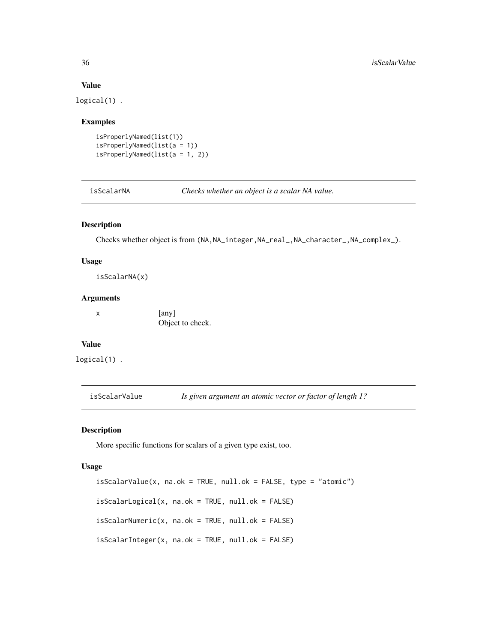#### Value

logical(1) .

#### Examples

```
isProperlyNamed(list(1))
isProperlyNamed(list(a = 1))
isProperlyNamed(list(a = 1, 2))
```
isScalarNA *Checks whether an object is a scalar NA value.*

#### Description

Checks whether object is from (NA,NA\_integer,NA\_real\_,NA\_character\_,NA\_complex\_).

#### Usage

isScalarNA(x)

#### Arguments

x [any] Object to check.

# Value

logical(1) .

isScalarValue *Is given argument an atomic vector or factor of length 1?*

# Description

More specific functions for scalars of a given type exist, too.

#### Usage

```
isScalarValue(x, na.ok = TRUE, null.ok = FALSE, type = "atomic")
isScalarLogical(x, na.ok = TRUE, null.ok = FALSE)isScalarNumberic(x, na.ok = TRUE, null.ok = FALSE)isScalarInteger(x, na.ok = TRUE, null.ok = FALSE)
```
<span id="page-35-0"></span>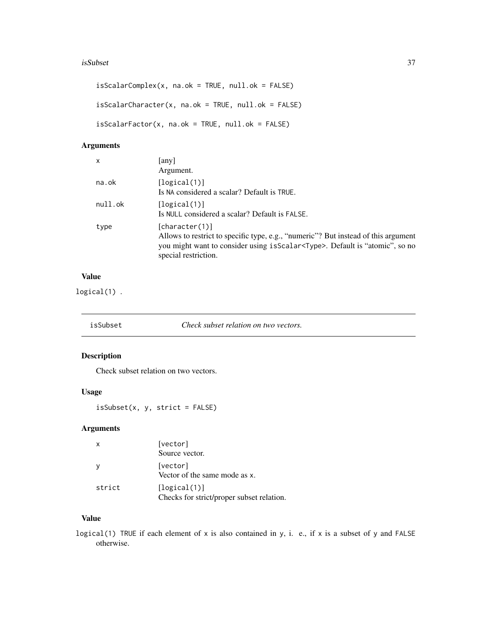#### <span id="page-36-0"></span>isSubset 37

```
isScalarComplex(x, na.ok = TRUE, null.ok = FALSE)isScalarCharacter(x, na.ok = TRUE, null.ok = FALSE)
isScalarFactor(x, na.ok = TRUE, null.ok = FALSE)
```
# Arguments

| x       | any<br>Argument.                                                                                                                                                                                                      |
|---------|-----------------------------------------------------------------------------------------------------------------------------------------------------------------------------------------------------------------------|
| na.ok   | [logical(1)]<br>Is NA considered a scalar? Default is TRUE.                                                                                                                                                           |
| null.ok | [logical(1)]<br>Is NULL considered a scalar? Default is FALSE.                                                                                                                                                        |
| type    | [character(1)]<br>Allows to restrict to specific type, e.g., "numeric"? But instead of this argument<br>you might want to consider using is Scalar <type>. Default is "atomic", so no<br/>special restriction.</type> |

# Value

logical(1) .

| isSubset | Check subset relation on two vectors. |
|----------|---------------------------------------|
|----------|---------------------------------------|

# Description

Check subset relation on two vectors.

### Usage

```
isSubset(x, y, strict = FALSE)
```
# Arguments

| х      | [vector]                                                  |
|--------|-----------------------------------------------------------|
|        | Source vector.                                            |
|        | [vector]<br>Vector of the same mode as x.                 |
| strict | [logical(1)]<br>Checks for strict/proper subset relation. |

# Value

logical(1) TRUE if each element of x is also contained in y, i. e., if x is a subset of y and FALSE otherwise.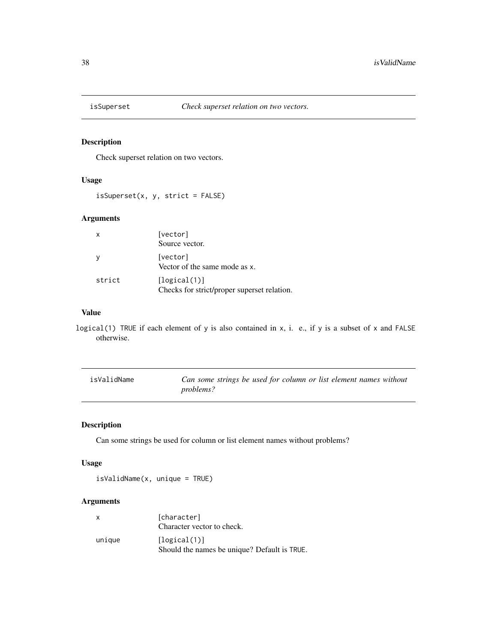<span id="page-37-0"></span>

Check superset relation on two vectors.

### Usage

isSuperset(x, y, strict = FALSE)

# Arguments

| x      | [vector]<br>Source vector.                                  |
|--------|-------------------------------------------------------------|
|        | [vector]<br>Vector of the same mode as x.                   |
| strict | [logical(1)]<br>Checks for strict/proper superset relation. |

# Value

logical(1) TRUE if each element of y is also contained in x, i. e., if y is a subset of x and FALSE otherwise.

| isValidName | Can some strings be used for column or list element names without |
|-------------|-------------------------------------------------------------------|
|             | <i>problems?</i>                                                  |

# Description

Can some strings be used for column or list element names without problems?

#### Usage

isValidName(x, unique = TRUE)

| $\mathsf{x}$ | [character]<br>Character vector to check.                    |
|--------------|--------------------------------------------------------------|
| unique       | [logical(1)]<br>Should the names be unique? Default is TRUE. |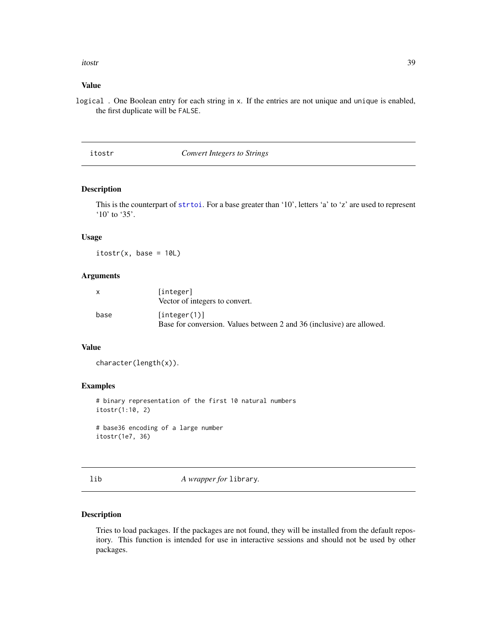<span id="page-38-0"></span>itostr 39

#### Value

logical . One Boolean entry for each string in x. If the entries are not unique and unique is enabled, the first duplicate will be FALSE.

itostr *Convert Integers to Strings*

### Description

This is the counterpart of [strtoi](#page-0-0). For a base greater than '10', letters 'a' to 'z' are used to represent '10' to '35'.

### Usage

 $itostr(x, base = 10L)$ 

#### Arguments

| $\mathsf{x}$ | [integer]<br>Vector of integers to convert.                                           |
|--------------|---------------------------------------------------------------------------------------|
| base         | [integer(1)]<br>Base for conversion. Values between 2 and 36 (inclusive) are allowed. |

#### Value

character(length(x)).

#### Examples

# binary representation of the first 10 natural numbers itostr(1:10, 2)

# base36 encoding of a large number itostr(1e7, 36)

lib *A wrapper for* library*.*

#### Description

Tries to load packages. If the packages are not found, they will be installed from the default repository. This function is intended for use in interactive sessions and should not be used by other packages.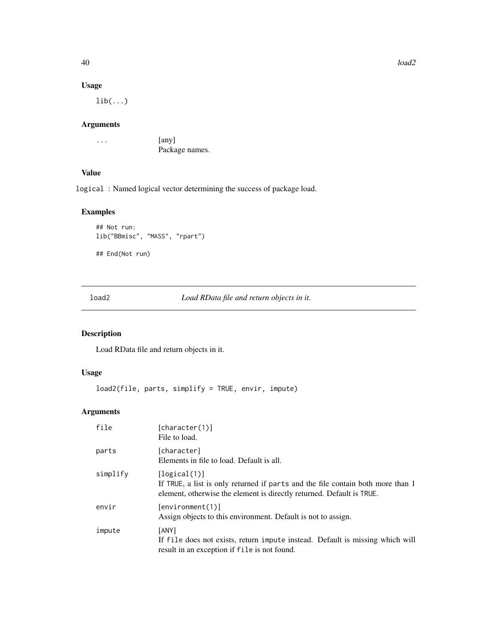40 load2

# Usage

 $lib(...)$ 

#### Arguments

... [any] Package names.

# Value

logical : Named logical vector determining the success of package load.

# Examples

```
## Not run:
lib("BBmisc", "MASS", "rpart")
## End(Not run)
```
<span id="page-39-1"></span>load2 *Load RData file and return objects in it.*

# Description

Load RData file and return objects in it.

### Usage

```
load2(file, parts, simplify = TRUE, envir, impute)
```

| file     | [character(1)]<br>File to load.                                                                                                                                          |
|----------|--------------------------------------------------------------------------------------------------------------------------------------------------------------------------|
| parts    | [character]<br>Elements in file to load. Default is all.                                                                                                                 |
| simplify | [logical(1)]<br>If TRUE, a list is only returned if parts and the file contain both more than 1<br>element, otherwise the element is directly returned. Default is TRUE. |
| envir    | [environment(1)]<br>Assign objects to this environment. Default is not to assign.                                                                                        |
| impute   | [ANY]<br>If file does not exists, return impute instead. Default is missing which will<br>result in an exception if file is not found.                                   |

<span id="page-39-0"></span>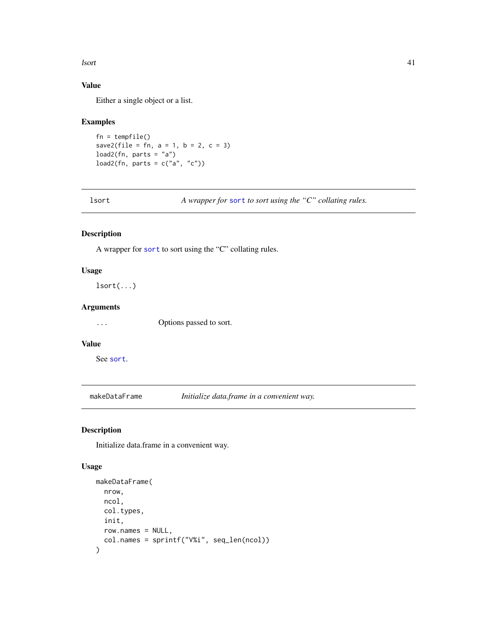<span id="page-40-0"></span>lsort the contract of the contract of the contract of the contract of the contract of the contract of the contract of the contract of the contract of the contract of the contract of the contract of the contract of the cont

# Value

Either a single object or a list.

# Examples

```
fn = tempfile()
save2(file = fn, a = 1, b = 2, c = 3)
load2(fn, parts = "a")load2(fn, parts = c("a", "c"))
```
lsort *A wrapper for* [sort](#page-0-0) *to sort using the "C" collating rules.*

# Description

A wrapper for [sort](#page-0-0) to sort using the "C" collating rules.

#### Usage

lsort(...)

# Arguments

... Options passed to sort.

# Value

See [sort](#page-0-0).

makeDataFrame *Initialize data.frame in a convenient way.*

### Description

Initialize data.frame in a convenient way.

### Usage

```
makeDataFrame(
  nrow,
  ncol,
  col.types,
  init,
  row.names = NULL,
  col.names = sprintf("V%i", seq_len(ncol))
\mathcal{E}
```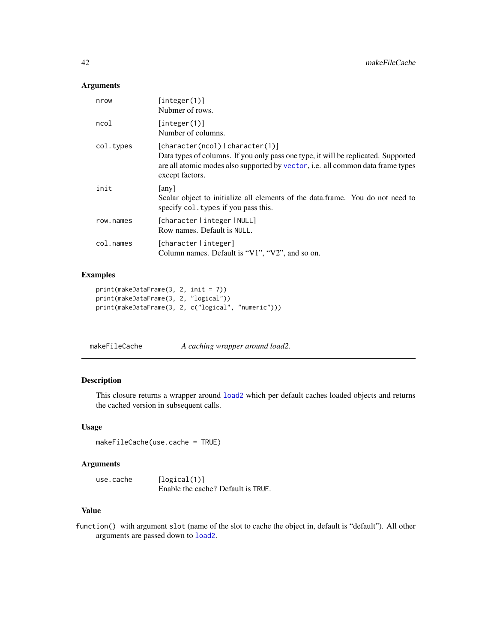### <span id="page-41-0"></span>Arguments

| nrow      | [integer(1)]<br>Nubmer of rows.                                                                                                                                                                                                     |
|-----------|-------------------------------------------------------------------------------------------------------------------------------------------------------------------------------------------------------------------------------------|
| ncol      | [integer(1)]<br>Number of columns.                                                                                                                                                                                                  |
| col.types | [character(ncol)   character(1)]<br>Data types of columns. If you only pass one type, it will be replicated. Supported<br>are all atomic modes also supported by vector, <i>i.e.</i> all common data frame types<br>except factors. |
| init      | any<br>Scalar object to initialize all elements of the data.frame. You do not need to<br>specify col. types if you pass this.                                                                                                       |
| row.names | [character   integer   NULL]<br>Row names. Default is NULL.                                                                                                                                                                         |
| col.names | [character   integer]<br>Column names. Default is " $V1$ ", " $V2$ ", and so on.                                                                                                                                                    |

# Examples

```
print(makeDataFrame(3, 2, init = 7))
print(makeDataFrame(3, 2, "logical"))
print(makeDataFrame(3, 2, c("logical", "numeric")))
```
makeFileCache *A caching wrapper around load2.*

# Description

This closure returns a wrapper around [load2](#page-39-1) which per default caches loaded objects and returns the cached version in subsequent calls.

#### Usage

makeFileCache(use.cache = TRUE)

# Arguments

use.cache [logical(1)] Enable the cache? Default is TRUE.

# Value

function() with argument slot (name of the slot to cache the object in, default is "default"). All other arguments are passed down to [load2](#page-39-1).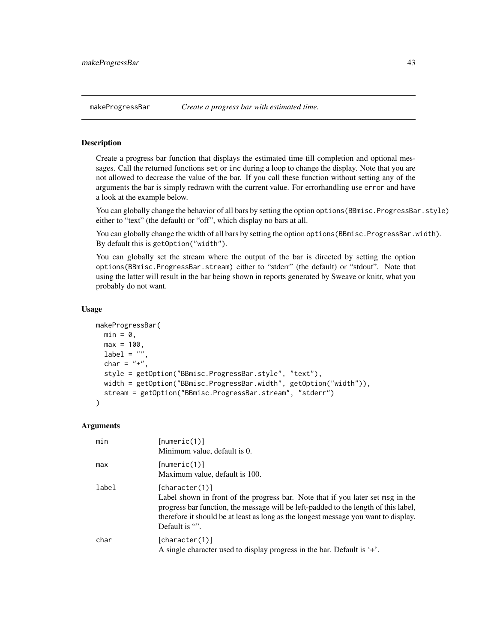<span id="page-42-1"></span><span id="page-42-0"></span>Create a progress bar function that displays the estimated time till completion and optional messages. Call the returned functions set or inc during a loop to change the display. Note that you are not allowed to decrease the value of the bar. If you call these function without setting any of the arguments the bar is simply redrawn with the current value. For errorhandling use error and have a look at the example below.

You can globally change the behavior of all bars by setting the option options (BBmisc.ProgressBar.style) either to "text" (the default) or "off", which display no bars at all.

You can globally change the width of all bars by setting the option options(BBmisc.ProgressBar.width). By default this is getOption("width").

You can globally set the stream where the output of the bar is directed by setting the option options(BBmisc.ProgressBar.stream) either to "stderr" (the default) or "stdout". Note that using the latter will result in the bar being shown in reports generated by Sweave or knitr, what you probably do not want.

### Usage

```
makeProgressBar(
 min = 0,
 max = 100,
 label = "char = "+",
 style = getOption("BBmisc.ProgressBar.style", "text"),
 width = getOption("BBmisc.ProgressBar.width", getOption("width")),
  stream = getOption("BBmisc.ProgressBar.stream", "stderr")
)
```

| min   | [numeric(1)]<br>Minimum value, default is 0.                                                                                                                                                                                                                                                      |
|-------|---------------------------------------------------------------------------------------------------------------------------------------------------------------------------------------------------------------------------------------------------------------------------------------------------|
| max   | [numeric(1)]<br>Maximum value, default is 100.                                                                                                                                                                                                                                                    |
| label | [character(1)]<br>Label shown in front of the progress bar. Note that if you later set msg in the<br>progress bar function, the message will be left-padded to the length of this label,<br>therefore it should be at least as long as the longest message you want to display.<br>Default is "". |
| char  | [character(1)]<br>A single character used to display progress in the bar. Default is $+$ .                                                                                                                                                                                                        |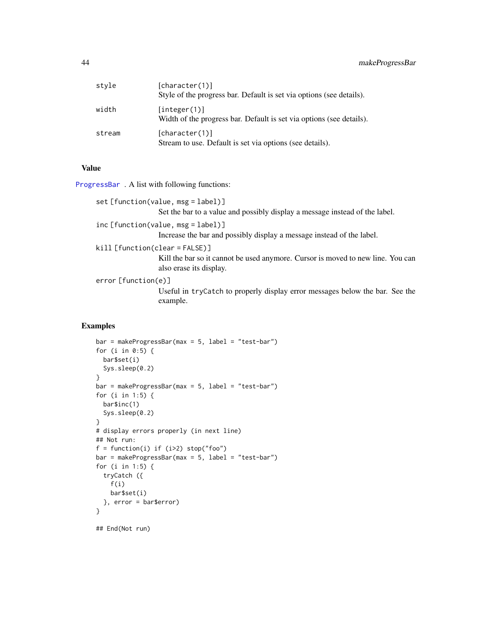# <span id="page-43-0"></span>44 makeProgressBar

| style  | [character(1)]<br>Style of the progress bar. Default is set via options (see details). |
|--------|----------------------------------------------------------------------------------------|
| width  | [interer(1)]<br>Width of the progress bar. Default is set via options (see details).   |
| stream | [character(1)]<br>Stream to use. Default is set via options (see details).             |

# Value

[ProgressBar](#page-42-1) . A list with following functions:

```
set [function(value, msg = label)]
```
Set the bar to a value and possibly display a message instead of the label.

inc [function(value, msg = label)]

Increase the bar and possibly display a message instead of the label.

kill [function(clear = FALSE)]

Kill the bar so it cannot be used anymore. Cursor is moved to new line. You can also erase its display.

error [function(e)]

Useful in tryCatch to properly display error messages below the bar. See the example.

# Examples

```
bar = makeProgressBar(max = 5, label = "test-bar")
for (i in 0:5) {
 bar$set(i)
 Sys.sleep(0.2)
}
bar = makeProgressBar(max = 5, label = "test-bar")
for (i in 1:5) {
 bar$inc(1)
 Sys.sleep(0.2)
}
# display errors properly (in next line)
## Not run:
f = function(i) if (i>2) stop("foo")
bar = makeProgressBar(max = 5, label = "test-bar")
for (i in 1:5) {
  tryCatch ({
    f(i)bar$set(i)
  }, error = bar$error)
}
```
## End(Not run)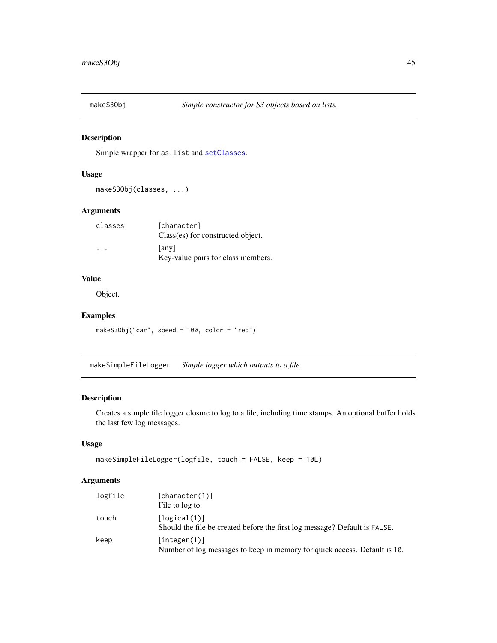<span id="page-44-0"></span>

Simple wrapper for as.list and [setClasses](#page-57-1).

# Usage

makeS3Obj(classes, ...)

#### Arguments

| classes | [character]                                 |
|---------|---------------------------------------------|
|         | Class(es) for constructed object.           |
| $\cdot$ | [any]<br>Key-value pairs for class members. |

### Value

Object.

# Examples

makeS3Obj("car", speed = 100, color = "red")

makeSimpleFileLogger *Simple logger which outputs to a file.*

# <span id="page-44-1"></span>Description

Creates a simple file logger closure to log to a file, including time stamps. An optional buffer holds the last few log messages.

#### Usage

```
makeSimpleFileLogger(logfile, touch = FALSE, keep = 10L)
```

| logfile | [character(1)]<br>File to log to.                                                          |
|---------|--------------------------------------------------------------------------------------------|
| touch   | [logical(1)]<br>Should the file be created before the first log message? Default is FALSE. |
| keep    | [integer(1)]<br>Number of log messages to keep in memory for quick access. Default is 10.  |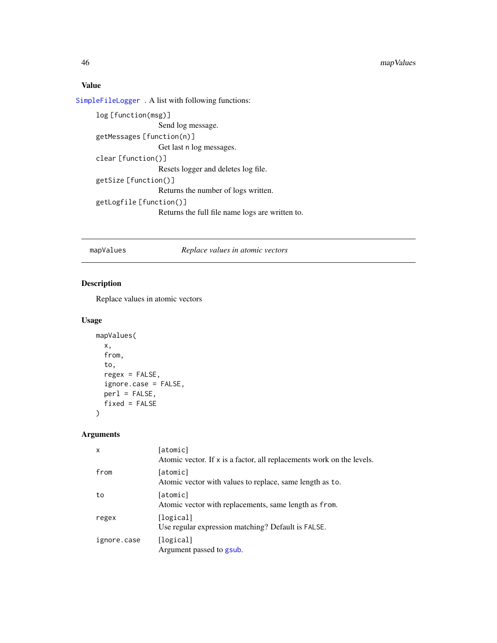# <span id="page-45-0"></span>Value

[SimpleFileLogger](#page-44-1) . A list with following functions:

```
log [function(msg)]
                 Send log message.
getMessages [function(n)]
                 Get last n log messages.
clear [function()]
                  Resets logger and deletes log file.
getSize [function()]
                 Returns the number of logs written.
getLogfile [function()]
                 Returns the full file name logs are written to.
```
# mapValues *Replace values in atomic vectors*

# Description

Replace values in atomic vectors

# Usage

```
mapValues(
  x,
  from,
  to,
  regex = FALSE,
  ignore.case = FALSE,
  perl = FALSE,
  fixed = FALSE
\lambda
```

| x           | [atomic]<br>Atomic vector. If x is a factor, all replacements work on the levels. |
|-------------|-----------------------------------------------------------------------------------|
| from        | [atomic]<br>Atomic vector with values to replace, same length as to.              |
| to          | [atomic]<br>Atomic vector with replacements, same length as from.                 |
| regex       | [logical]<br>Use regular expression matching? Default is FALSE.                   |
| ignore.case | [logical]<br>Argument passed to gsub.                                             |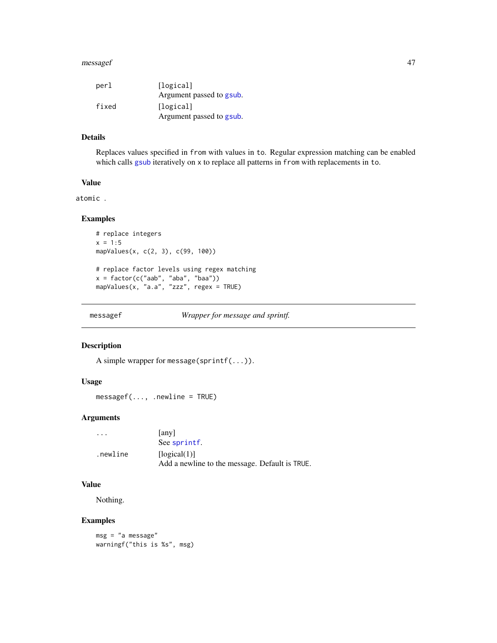#### <span id="page-46-0"></span>messagef 47

| perl  | [logical]                |
|-------|--------------------------|
|       | Argument passed to gsub. |
| fixed | [logical]                |
|       | Argument passed to gsub. |

#### Details

Replaces values specified in from with values in to. Regular expression matching can be enabled which calls [gsub](#page-0-0) iteratively on x to replace all patterns in from with replacements in to.

### Value

atomic .

# Examples

```
# replace integers
x = 1:5mapValues(x, c(2, 3), c(99, 100))
# replace factor levels using regex matching
x = factor(c("aab", "aba", "baa"))
mapValues(x, "a.a", "zzz", regex = TRUE)
```
messagef *Wrapper for message and sprintf.*

# Description

A simple wrapper for message(sprintf(...)).

#### Usage

messagef(..., .newline = TRUE)

# Arguments

| $\cdot$ $\cdot$ $\cdot$ | [any]<br>See sprintf.                          |
|-------------------------|------------------------------------------------|
| .newline                | [logical(1)]                                   |
|                         | Add a newline to the message. Default is TRUE. |

#### Value

Nothing.

### Examples

```
msg = "a message"
warningf("this is %s", msg)
```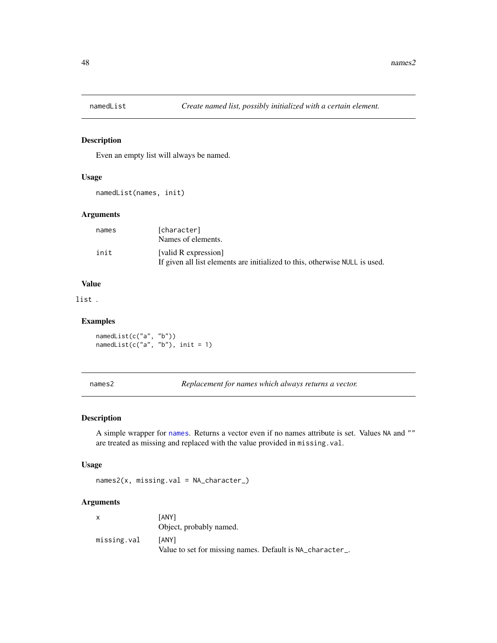<span id="page-47-0"></span>

Even an empty list will always be named.

### Usage

```
namedList(names, init)
```
### Arguments

| names | [character]<br>Names of elements.                                                                   |
|-------|-----------------------------------------------------------------------------------------------------|
| init  | [valid R expression]<br>If given all list elements are initialized to this, otherwise NULL is used. |

# Value

list .

#### Examples

namedList(c("a", "b")) namedList(c("a", "b"), init = 1)

names2 *Replacement for names which always returns a vector.*

# Description

A simple wrapper for [names](#page-0-0). Returns a vector even if no names attribute is set. Values NA and "" are treated as missing and replaced with the value provided in missing.val.

### Usage

names2(x, missing.val = NA\_character\_)

| $\mathsf{x}$ | [ANY]<br>Object, probably named.                                          |
|--------------|---------------------------------------------------------------------------|
| missing.val  | <b>TANY1</b><br>Value to set for missing names. Default is NA_character_. |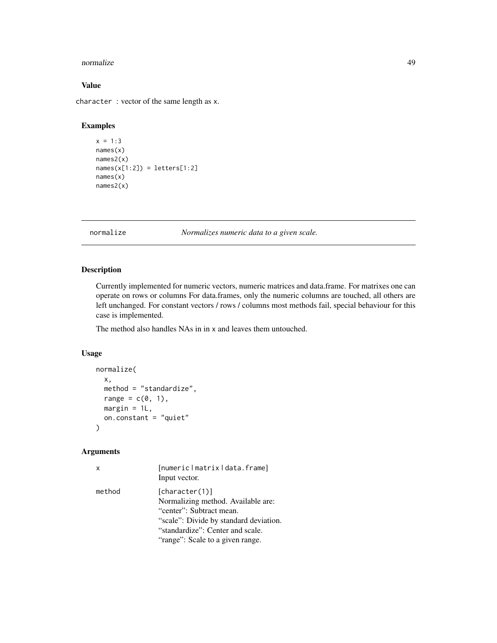#### <span id="page-48-0"></span>normalize the contract of the contract of the contract of the contract of the contract of the contract of the contract of the contract of the contract of the contract of the contract of the contract of the contract of the

# Value

character : vector of the same length as x.

### Examples

```
x = 1:3names(x)
names2(x)
names(x[1:2]) = letters[1:2]
names(x)
names2(x)
```
normalize *Normalizes numeric data to a given scale.*

### Description

Currently implemented for numeric vectors, numeric matrices and data.frame. For matrixes one can operate on rows or columns For data.frames, only the numeric columns are touched, all others are left unchanged. For constant vectors / rows / columns most methods fail, special behaviour for this case is implemented.

The method also handles NAs in in x and leaves them untouched.

#### Usage

```
normalize(
  x,
 method = "standardize",
  range = c(0, 1),
 margin = 1L,
 on.constant = "quiet"
)
```

| $\mathsf{x}$ | [numericlmatrixldata.frame]<br>Input vector.                                                                                                                                                       |
|--------------|----------------------------------------------------------------------------------------------------------------------------------------------------------------------------------------------------|
| method       | [character(1)]<br>Normalizing method. Available are:<br>"center": Subtract mean.<br>"scale": Divide by standard deviation.<br>"standardize": Center and scale.<br>"range": Scale to a given range. |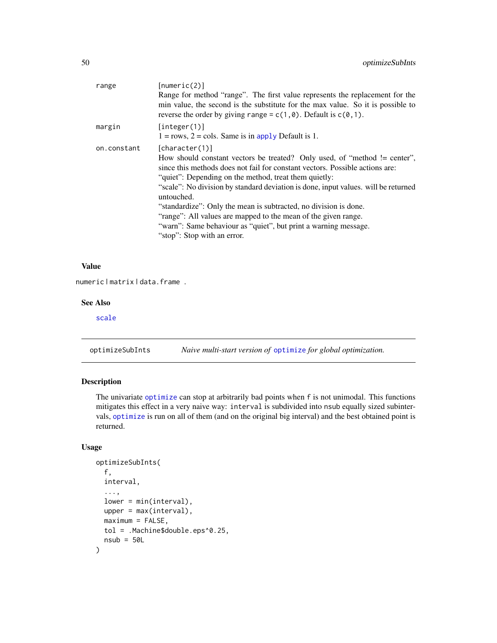<span id="page-49-0"></span>

| range       | [numeric(2)]<br>Range for method "range". The first value represents the replacement for the<br>min value, the second is the substitute for the max value. So it is possible to<br>reverse the order by giving range = $c(1, \theta)$ . Default is $c(\theta, 1)$ .                                                                                                                                                                                                                                                                                                              |
|-------------|----------------------------------------------------------------------------------------------------------------------------------------------------------------------------------------------------------------------------------------------------------------------------------------------------------------------------------------------------------------------------------------------------------------------------------------------------------------------------------------------------------------------------------------------------------------------------------|
| margin      | [integer(1)]<br>$1 = rows$ , $2 = \text{cols}$ . Same is in apply Default is 1.                                                                                                                                                                                                                                                                                                                                                                                                                                                                                                  |
| on.constant | [character(1)]<br>How should constant vectors be treated? Only used, of "method != center",<br>since this methods does not fail for constant vectors. Possible actions are:<br>"quiet": Depending on the method, treat them quietly:<br>"scale": No division by standard deviation is done, input values. will be returned<br>untouched.<br>"standardize": Only the mean is subtracted, no division is done.<br>"range": All values are mapped to the mean of the given range.<br>"warn": Same behaviour as "quiet", but print a warning message.<br>"stop": Stop with an error. |

### Value

numeric | matrix | data.frame .

#### See Also

[scale](#page-0-0)

optimizeSubInts *Naive multi-start version of* [optimize](#page-0-0) *for global optimization.*

# Description

The univariate [optimize](#page-0-0) can stop at arbitrarily bad points when f is not unimodal. This functions mitigates this effect in a very naive way: interval is subdivided into nsub equally sized subintervals, [optimize](#page-0-0) is run on all of them (and on the original big interval) and the best obtained point is returned.

### Usage

```
optimizeSubInts(
  f,
  interval,
  ...,
  lower = min(interval),
 upper = max(interval),
 maximum = FALSE,tol = .Machine$double.eps^0.25,
 nsub = 50L)
```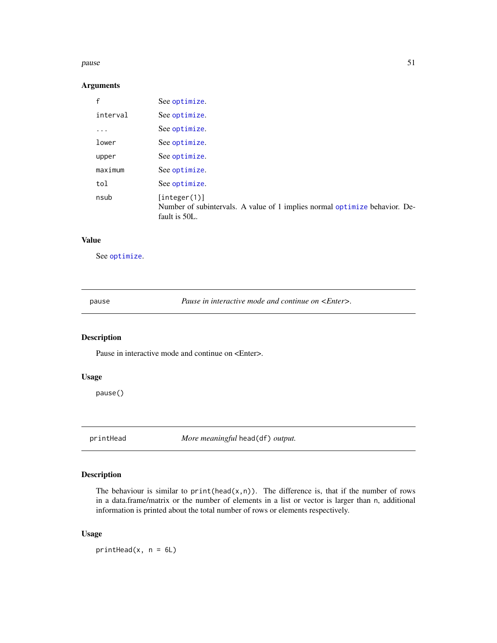#### <span id="page-50-0"></span>pause 51 met 1992 is the state of the state of the state of the state of the state of the state of the state of the state of the state of the state of the state of the state of the state of the state of the state of the st

# Arguments

| See optimize.                                                                                               |
|-------------------------------------------------------------------------------------------------------------|
| See optimize.                                                                                               |
| See optimize.                                                                                               |
| See optimize.                                                                                               |
| See optimize.                                                                                               |
| See optimize.                                                                                               |
| See optimize.                                                                                               |
| [interer(1)]<br>Number of subintervals. A value of 1 implies normal optimize behavior. De-<br>fault is 50L. |
|                                                                                                             |

#### Value

See [optimize](#page-0-0).

pause *Pause in interactive mode and continue on <Enter>.*

# Description

Pause in interactive mode and continue on  $\leq$ Enter>.

# Usage

pause()

printHead *More meaningful* head(df) *output.*

# Description

The behaviour is similar to  $print(head(x, n))$ . The difference is, that if the number of rows in a data.frame/matrix or the number of elements in a list or vector is larger than n, additional information is printed about the total number of rows or elements respectively.

# Usage

printHead( $x$ ,  $n = 6L$ )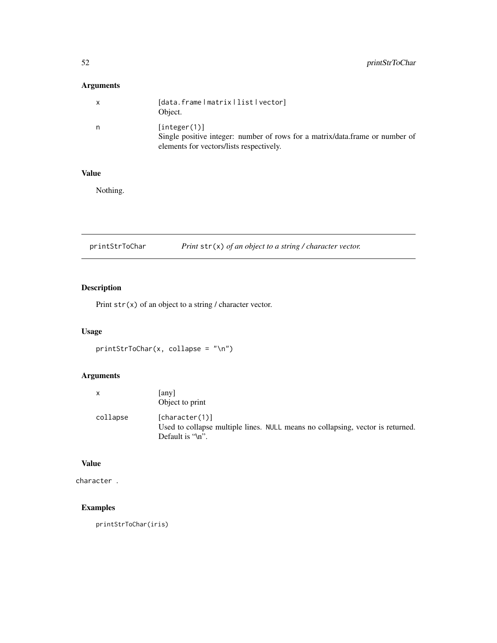# <span id="page-51-0"></span>Arguments

| X  | [data.frame   matrix   list   vector]<br>Object.                                                                                         |
|----|------------------------------------------------------------------------------------------------------------------------------------------|
| n. | [interer(1)]<br>Single positive integer: number of rows for a matrix/data.frame or number of<br>elements for vectors/lists respectively. |

### Value

Nothing.

| printStrToChar |  | Print $str(x)$ of an object to a string / character vector. |
|----------------|--|-------------------------------------------------------------|
|----------------|--|-------------------------------------------------------------|

# Description

Print  $str(x)$  of an object to a string / character vector.

# Usage

```
printStrToChar(x, collapse = "\n")
```
# Arguments

| X        | [any]<br>Object to print                                                                                                  |
|----------|---------------------------------------------------------------------------------------------------------------------------|
| collapse | [character(1)]<br>Used to collapse multiple lines. NULL means no collapsing, vector is returned.<br>Default is " $\ln$ ". |

# Value

character .

# Examples

printStrToChar(iris)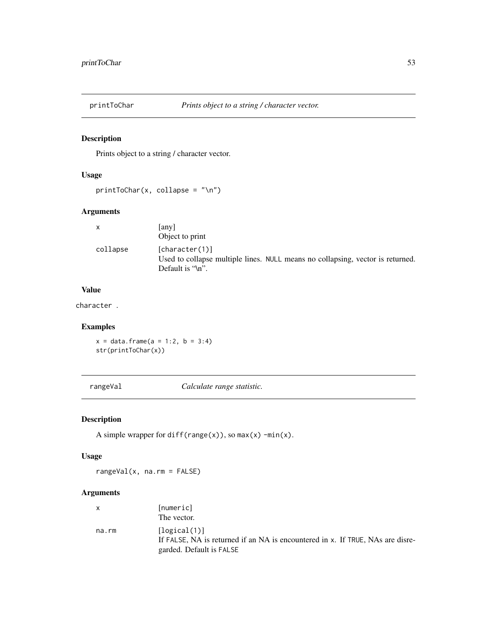<span id="page-52-0"></span>

Prints object to a string / character vector.

# Usage

printToChar(x, collapse = "\n")

# Arguments

| X        | [any]<br>Object to print                                                                                             |
|----------|----------------------------------------------------------------------------------------------------------------------|
| collapse | [character(1)]<br>Used to collapse multiple lines. NULL means no collapsing, vector is returned.<br>Default is "\n". |

# Value

character .

# Examples

 $x = data.$  frame( $a = 1:2, b = 3:4$ ) str(printToChar(x))

rangeVal *Calculate range statistic.*

# Description

A simple wrapper for diff(range(x)), so  $max(x)$  -min(x).

# Usage

rangeVal(x, na.rm = FALSE)

|       | [numeric]                                                                      |
|-------|--------------------------------------------------------------------------------|
|       | The vector.                                                                    |
| na.rm | [logical(1)]                                                                   |
|       | If FALSE. NA is returned if an NA is encountered in x. If TRUE, NAs are disre- |
|       | garded. Default is FALSE                                                       |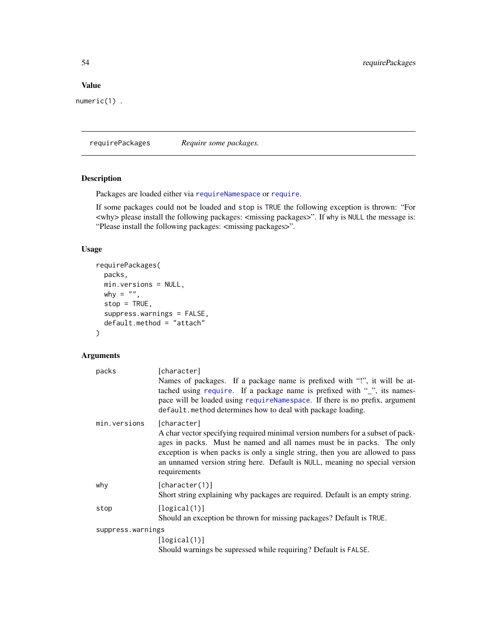# <span id="page-53-0"></span>Value

numeric(1) .

requirePackages *Require some packages.*

# Description

Packages are loaded either via [requireNamespace](#page-0-0) or [require](#page-0-0).

If some packages could not be loaded and stop is TRUE the following exception is thrown: "For <why> please install the following packages: <missing packages>". If why is NULL the message is: "Please install the following packages: <missing packages>".

# Usage

```
requirePackages(
 packs,
 min.versions = NULL,
 why = ",
 stop = TRUE,
  suppress.warnings = FALSE,
 default.method = "attach"
\mathcal{L}
```

| packs             | [character]<br>Names of packages. If a package name is prefixed with "!", it will be at-<br>tached using require. If a package name is prefixed with "", its names-<br>pace will be loaded using requireNamespace. If there is no prefix, argument<br>default.method determines how to deal with package loading.                                       |
|-------------------|---------------------------------------------------------------------------------------------------------------------------------------------------------------------------------------------------------------------------------------------------------------------------------------------------------------------------------------------------------|
| min.versions      | [character]<br>A char vector specifying required minimal version numbers for a subset of pack-<br>ages in packs. Must be named and all names must be in packs. The only<br>exception is when packs is only a single string, then you are allowed to pass<br>an unnamed version string here. Default is NULL, meaning no special version<br>requirements |
| why               | [character(1)]<br>Short string explaining why packages are required. Default is an empty string.                                                                                                                                                                                                                                                        |
| stop              | [logical(1)]<br>Should an exception be thrown for missing packages? Default is TRUE.                                                                                                                                                                                                                                                                    |
| suppress.warnings |                                                                                                                                                                                                                                                                                                                                                         |
|                   | [logical(1)]                                                                                                                                                                                                                                                                                                                                            |
|                   | Should warnings be supressed while requiring? Default is FALSE.                                                                                                                                                                                                                                                                                         |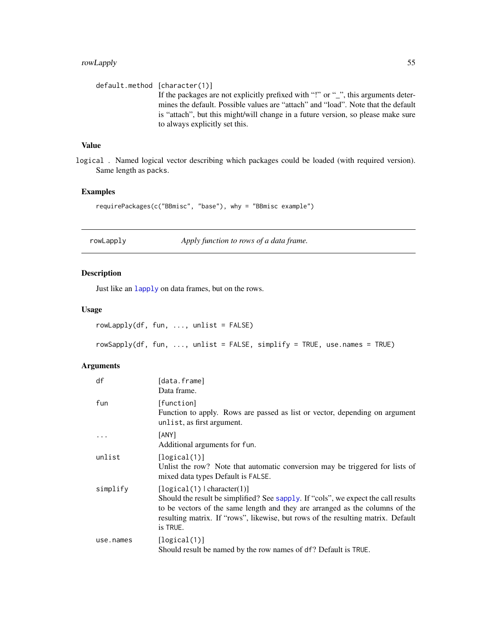# <span id="page-54-0"></span>rowLapply 55

```
default.method [character(1)]
                   If the packages are not explicitly prefixed with "!" or "_", this arguments deter-
                   mines the default. Possible values are "attach" and "load". Note that the default
                   is "attach", but this might/will change in a future version, so please make sure
                   to always explicitly set this.
```
# Value

logical . Named logical vector describing which packages could be loaded (with required version). Same length as packs.

# Examples

requirePackages(c("BBmisc", "base"), why = "BBmisc example")

|  | rowLapply |  |
|--|-----------|--|
|--|-----------|--|

Apply function to rows of a data frame.

# Description

Just like an [lapply](#page-0-0) on data frames, but on the rows.

#### Usage

 $rowLapply(df, fun, ..., unlist = FALSE)$ rowSapply(df, fun, ..., unlist = FALSE, simplify = TRUE, use.names = TRUE)

| df        | [data.frame]<br>Data frame.                                                                                                                                                                                                                                                                       |
|-----------|---------------------------------------------------------------------------------------------------------------------------------------------------------------------------------------------------------------------------------------------------------------------------------------------------|
| fun       | [function]<br>Function to apply. Rows are passed as list or vector, depending on argument<br>unlist, as first argument.                                                                                                                                                                           |
| .         | [ANY]<br>Additional arguments for fun.                                                                                                                                                                                                                                                            |
| unlist    | [logical(1)]<br>Unlist the row? Note that automatic conversion may be triggered for lists of<br>mixed data types Default is FALSE.                                                                                                                                                                |
| simplify  | [logical(1)   character(1)]<br>Should the result be simplified? See sapply. If "cols", we expect the call results<br>to be vectors of the same length and they are arranged as the columns of the<br>resulting matrix. If "rows", likewise, but rows of the resulting matrix. Default<br>is TRUE. |
| use.names | [logical(1)]<br>Should result be named by the row names of df? Default is TRUE.                                                                                                                                                                                                                   |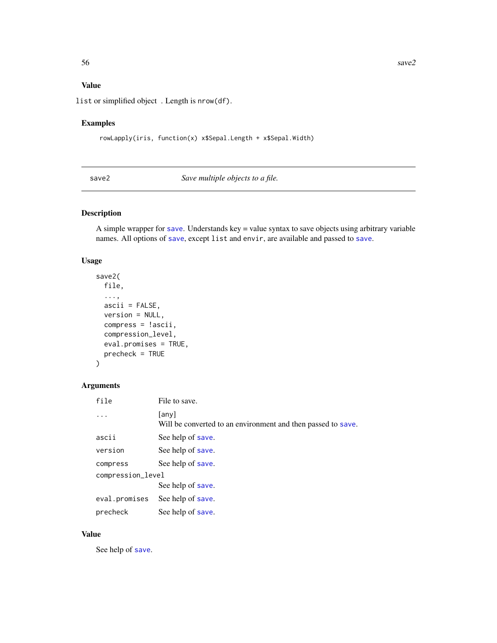# <span id="page-55-0"></span>Value

list or simplified object . Length is nrow(df).

# Examples

```
rowLapply(iris, function(x) x$Sepal.Length + x$Sepal.Width)
```
save2 *Save multiple objects to a file.*

# Description

A simple wrapper for [save](#page-0-0). Understands key = value syntax to save objects using arbitrary variable names. All options of [save](#page-0-0), except list and envir, are available and passed to [save](#page-0-0).

### Usage

```
save2(
  file,
  ...,
  ascii = FALSE,
  version = NULL,
  compress = !ascii,
  compression_level,
  eval.promises = TRUE,
  precheck = TRUE
\mathcal{L}
```
# Arguments

| file              | File to save.                                                         |
|-------------------|-----------------------------------------------------------------------|
|                   | [any]<br>Will be converted to an environment and then passed to save. |
| ascii             | See help of save.                                                     |
| version           | See help of save.                                                     |
| compress          | See help of save.                                                     |
| compression_level |                                                                       |
|                   | See help of save.                                                     |
| eval.promises     | See help of save.                                                     |
| precheck          | See help of save.                                                     |

# Value

See help of [save](#page-0-0).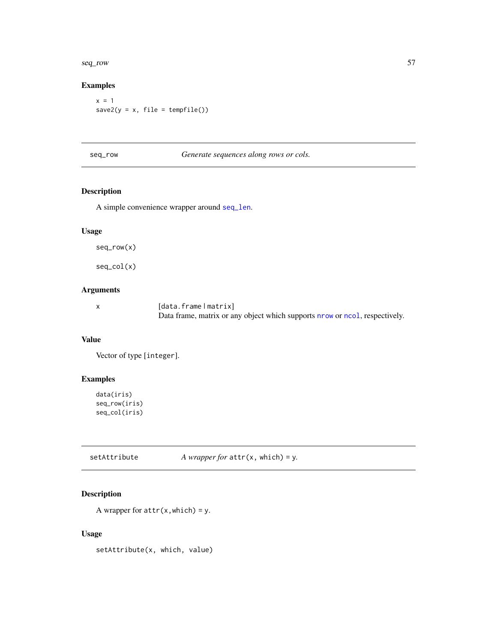<span id="page-56-0"></span>seq\_row 57

# Examples

 $x = 1$  $save2(y = x, file = template())$ 

| seg_row |
|---------|
|         |

Generate sequences along rows or cols.

# Description

A simple convenience wrapper around [seq\\_len](#page-0-0).

### Usage

seq\_row(x)

seq\_col(x)

# Arguments

| [data.frame matrix]                                                        |
|----------------------------------------------------------------------------|
| Data frame, matrix or any object which supports now or nool, respectively. |

# Value

Vector of type [integer].

# Examples

```
data(iris)
seq_row(iris)
seq_col(iris)
```
setAttribute *A wrapper for* attr(x, which) = y*.*

# Description

A wrapper for  $attr(x, which) = y$ .

# Usage

setAttribute(x, which, value)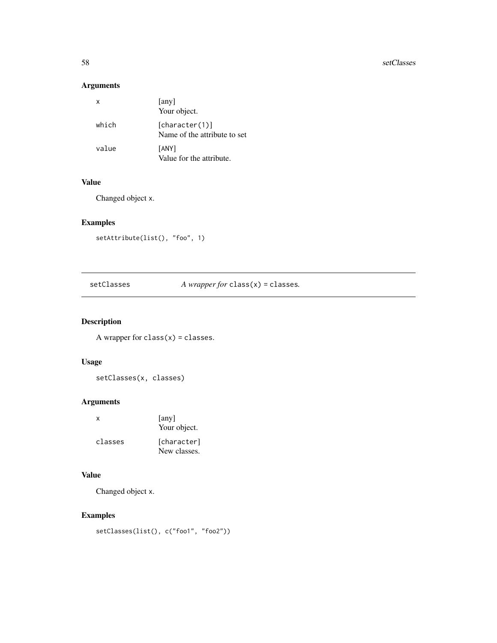# <span id="page-57-0"></span>Arguments

| х     | [any]<br>Your object.                          |
|-------|------------------------------------------------|
| which | [character(1)]<br>Name of the attribute to set |
| value | [ANY]<br>Value for the attribute.              |

### Value

Changed object x.

# Examples

```
setAttribute(list(), "foo", 1)
```
<span id="page-57-1"></span>

| setClasses | A wrapper for class $(x)$ = classes. |  |
|------------|--------------------------------------|--|
|------------|--------------------------------------|--|

# Description

A wrapper for  $class(x) = classes$ .

# Usage

```
setClasses(x, classes)
```
# Arguments

| x       | [any]<br>Your object.       |
|---------|-----------------------------|
| classes | [character]<br>New classes. |

# Value

Changed object x.

# Examples

```
setClasses(list(), c("foo1", "foo2"))
```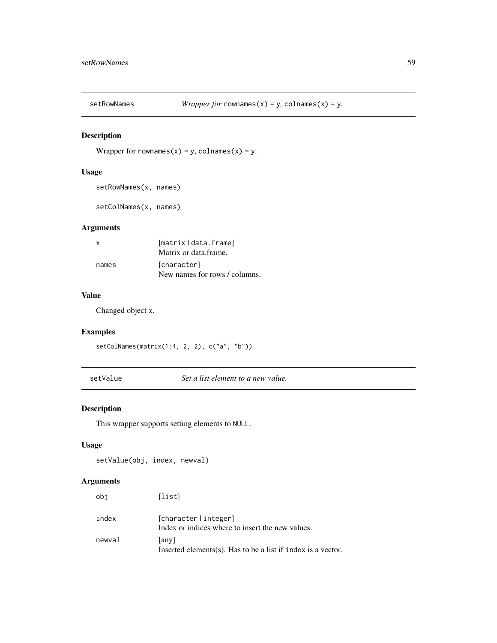<span id="page-58-0"></span>

Wrapper for rownames(x) = y, colnames(x) = y.

# Usage

```
setRowNames(x, names)
```

```
setColNames(x, names)
```
# Arguments

| X     | [matrix   data.frame]<br>Matrix or data frame. |
|-------|------------------------------------------------|
| names | [character]<br>New names for rows / columns.   |

# Value

Changed object x.

# Examples

setColNames(matrix(1:4, 2, 2), c("a", "b"))

setValue *Set a list element to a new value.*

# Description

This wrapper supports setting elements to NULL.

### Usage

```
setValue(obj, index, newval)
```

| obi    | [list]                                                                    |
|--------|---------------------------------------------------------------------------|
| index  | [character   integer]<br>Index or indices where to insert the new values. |
| newval | [any]<br>Inserted elements(s). Has to be a list if index is a vector.     |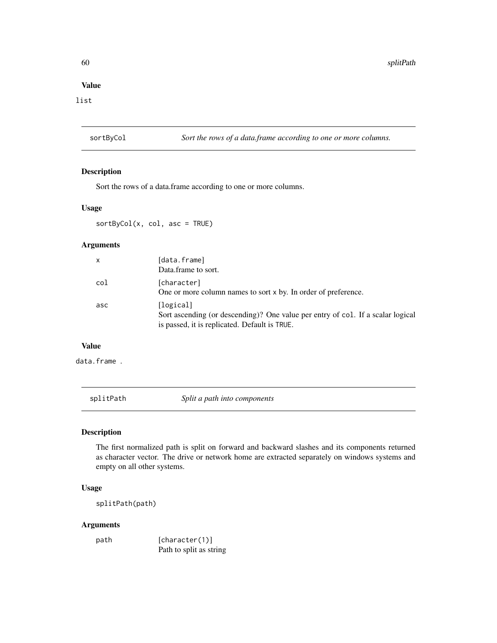### <span id="page-59-0"></span>Value

list

sortByCol *Sort the rows of a data.frame according to one or more columns.*

#### Description

Sort the rows of a data.frame according to one or more columns.

#### Usage

sortByCol(x, col, asc = TRUE)

#### Arguments

| x   | [data.frame]<br>Data.frame to sort.                                                                                                           |
|-----|-----------------------------------------------------------------------------------------------------------------------------------------------|
| col | [character]<br>One or more column names to sort x by. In order of preference.                                                                 |
| asc | [logical]<br>Sort ascending (or descending)? One value per entry of col. If a scalar logical<br>is passed, it is replicated. Default is TRUE. |

# Value

data.frame .

splitPath *Split a path into components*

# Description

The first normalized path is split on forward and backward slashes and its components returned as character vector. The drive or network home are extracted separately on windows systems and empty on all other systems.

# Usage

splitPath(path)

### Arguments

path [character(1)] Path to split as string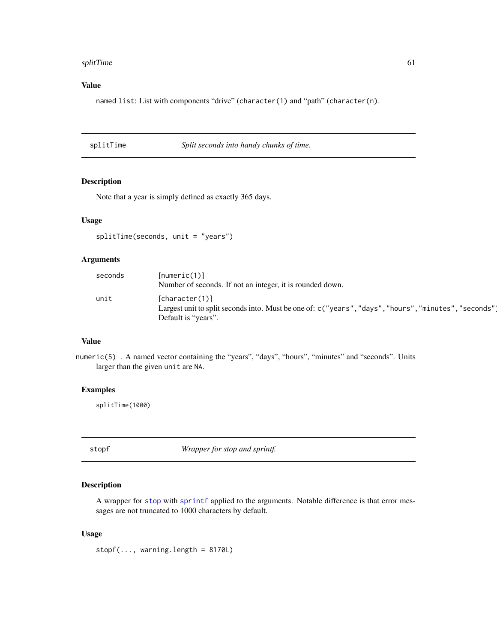#### <span id="page-60-0"></span>splitTime 61

# Value

named list: List with components "drive" (character(1) and "path" (character(n).

splitTime *Split seconds into handy chunks of time.*

### Description

Note that a year is simply defined as exactly 365 days.

#### Usage

splitTime(seconds, unit = "years")

### Arguments

| seconds | [numeric(1)]<br>Number of seconds. If not an integer, it is rounded down.                                                                      |
|---------|------------------------------------------------------------------------------------------------------------------------------------------------|
| unit    | [character(1)]<br>Largest unit to split seconds into. Must be one of: c("years", "days", "hours", "minutes", "seconds"]<br>Default is "years". |

# Value

numeric(5) . A named vector containing the "years", "days", "hours", "minutes" and "seconds". Units larger than the given unit are NA.

#### Examples

splitTime(1000)

stopf *Wrapper for stop and sprintf.*

# Description

A wrapper for [stop](#page-0-0) with [sprintf](#page-0-0) applied to the arguments. Notable difference is that error messages are not truncated to 1000 characters by default.

#### Usage

 $stopf(..., warning.length = 8170L)$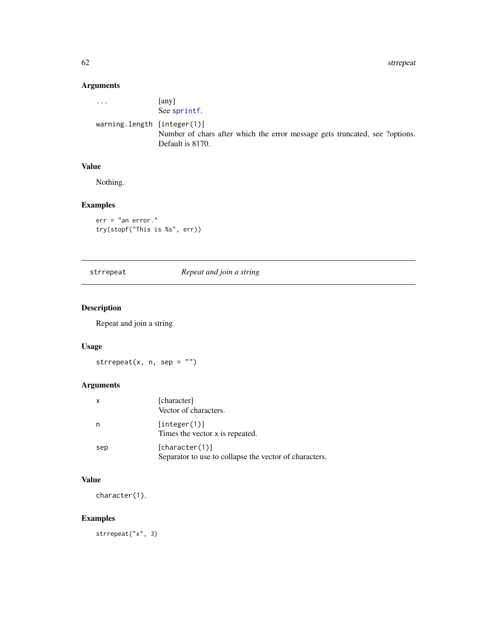<span id="page-61-0"></span>62 strrepeat

# Arguments

| $\cdot$                        | any l<br>See sprintf.                                                                           |
|--------------------------------|-------------------------------------------------------------------------------------------------|
| warning. length $[integer(1)]$ | Number of chars after which the error message gets truncated, see ?options.<br>Default is 8170. |

# Value

Nothing.

# Examples

```
err = "an error."
try(stopf("This is %s", err))
```
# strrepeat *Repeat and join a string*

# Description

Repeat and join a string

# Usage

strrepeat(x, n, sep =  $"$ )

# Arguments

| $\mathsf{x}$ | [character]<br>Vector of characters.                                     |
|--------------|--------------------------------------------------------------------------|
| n            | [interer(1)]<br>Times the vector x is repeated.                          |
| sep          | [character(1)]<br>Separator to use to collapse the vector of characters. |

# Value

character(1).

# Examples

strrepeat("x", 3)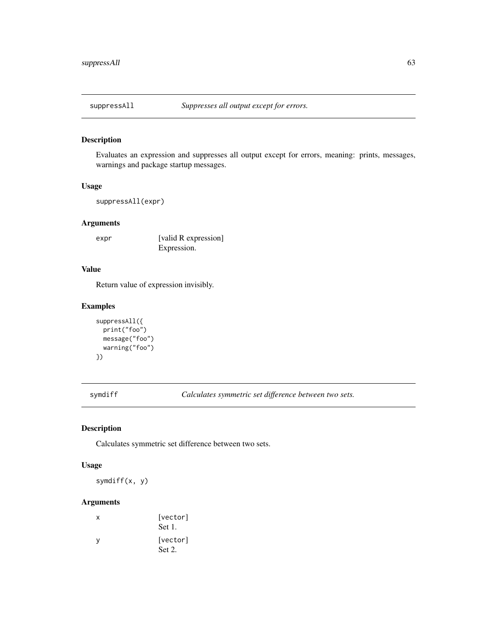<span id="page-62-0"></span>

Evaluates an expression and suppresses all output except for errors, meaning: prints, messages, warnings and package startup messages.

#### Usage

```
suppressAll(expr)
```
# Arguments

expr [valid R expression] Expression.

# Value

Return value of expression invisibly.

### Examples

```
suppressAll({
 print("foo")
 message("foo")
 warning("foo")
})
```
symdiff *Calculates symmetric set difference between two sets.*

# Description

Calculates symmetric set difference between two sets.

#### Usage

symdiff(x, y)

| x | [vector]<br>Set 1. |
|---|--------------------|
| ٧ | [vector]<br>Set 2. |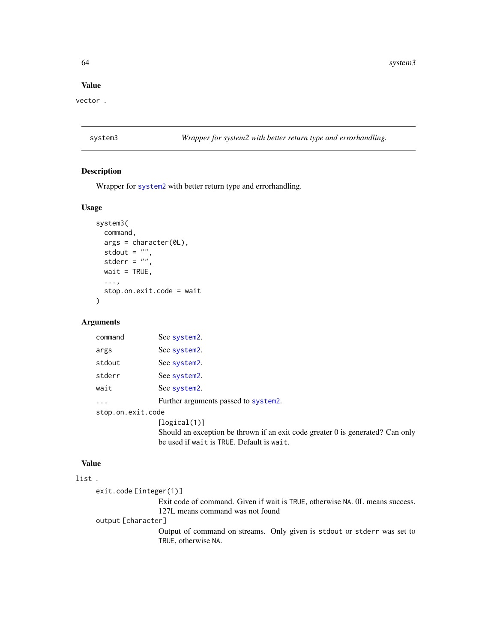64 system3

#### Value

vector .

system3 *Wrapper for system2 with better return type and errorhandling.*

### Description

Wrapper for [system2](#page-0-0) with better return type and errorhandling.

#### Usage

```
system3(
 command,
  args = character(0L),
 stdout = ",
  stderr = ".
 wait = TRUE,
  ...,
  stop.on.exit.code = wait
\lambda
```
### Arguments

| command           | See system2.                         |
|-------------------|--------------------------------------|
| args              | See system2.                         |
| stdout            | See system2.                         |
| stderr            | See system2.                         |
| wait              | See system2.                         |
|                   | Further arguments passed to system2. |
| stop.on.exit.code |                                      |
|                   | [logical(1)]                         |
|                   |                                      |

Should an exception be thrown if an exit code greater 0 is generated? Can only be used if wait is TRUE. Default is wait.

# Value

# list .

```
exit.code [integer(1)]
                 Exit code of command. Given if wait is TRUE, otherwise NA. 0L means success.
                 127L means command was not found
output [character]
                 Output of command on streams. Only given is stdout or stderr was set to
                 TRUE, otherwise NA.
```
<span id="page-63-0"></span>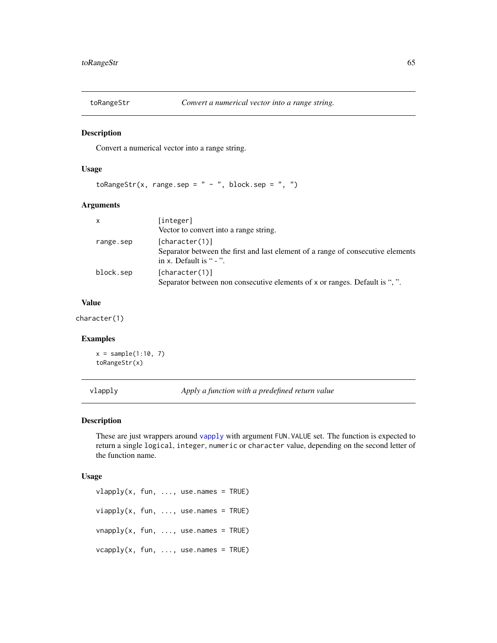<span id="page-64-0"></span>

Convert a numerical vector into a range string.

#### Usage

```
toRangeStr(x, range, sep = " - ", block, sep = ", ")
```
### Arguments

| [integer]                                                                       |
|---------------------------------------------------------------------------------|
| Vector to convert into a range string.                                          |
| [character(1)]                                                                  |
| Separator between the first and last element of a range of consecutive elements |
| in x. Default is " - ".                                                         |
| [character(1)]                                                                  |
| Separator between non consecutive elements of x or ranges. Default is ", ".     |
|                                                                                 |

### Value

character(1)

# Examples

 $x = sample(1:10, 7)$ toRangeStr(x)

vlapply *Apply a function with a predefined return value*

### Description

These are just wrappers around [vapply](#page-0-0) with argument FUN. VALUE set. The function is expected to return a single logical, integer, numeric or character value, depending on the second letter of the function name.

#### Usage

 $vlapply(x, fun, ..., use.names = TRUE)$  $viapply(x, fun, ..., use.names = TRUE)$  $v$ napply(x, fun, ..., use.names = TRUE)  $v \text{capply}(x, fun, ..., use.name = TRUE)$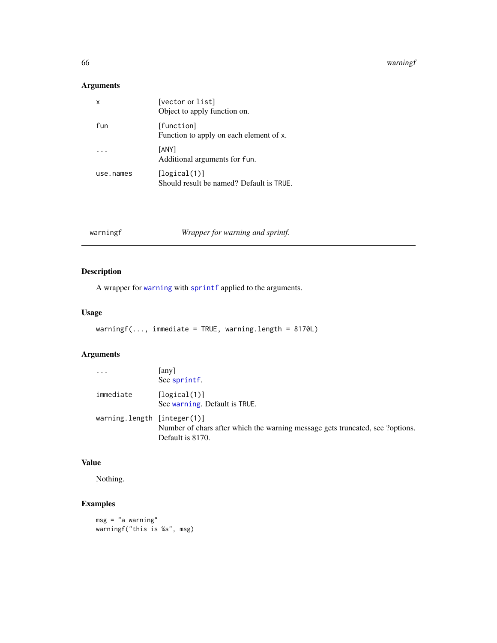#### <span id="page-65-0"></span>66 warningf

# Arguments

| x         | [vector or list]<br>Object to apply function on.         |
|-----------|----------------------------------------------------------|
| fun       | [function]<br>Function to apply on each element of x.    |
|           | [ANY]<br>Additional arguments for fun.                   |
| use.names | [logical(1)]<br>Should result be named? Default is TRUE. |

| Wrapper for warning and sprintf. | warningf |
|----------------------------------|----------|
|----------------------------------|----------|

# Description

A wrapper for [warning](#page-0-0) with [sprintf](#page-0-0) applied to the arguments.

# Usage

warningf(..., immediate = TRUE, warning.length = 8170L)

# Arguments

| .                           | any<br>See sprintf.                                                                               |
|-----------------------------|---------------------------------------------------------------------------------------------------|
| immediate                   | [logical(1)]<br>See warning. Default is TRUE.                                                     |
| warning.length [integer(1)] | Number of chars after which the warning message gets truncated, see ?options.<br>Default is 8170. |

# Value

Nothing.

# Examples

msg = "a warning" warningf("this is %s", msg)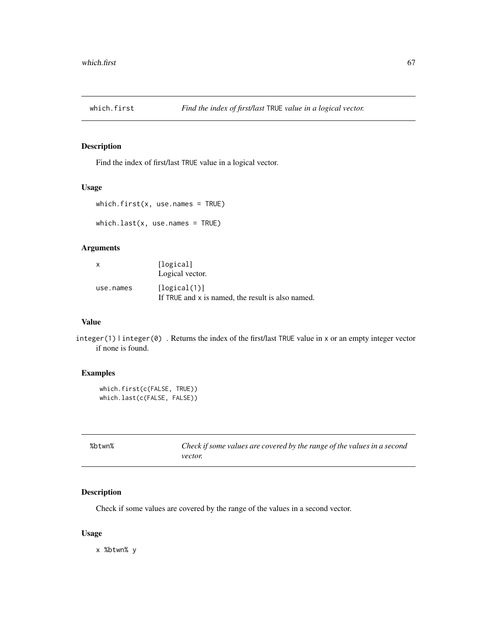<span id="page-66-0"></span>

Find the index of first/last TRUE value in a logical vector.

# Usage

```
which.first(x, use.names = TRUE)
```
which.last(x, use.names = TRUE)

### Arguments

| x         | [logical]<br>Logical vector.                                      |
|-----------|-------------------------------------------------------------------|
| use.names | [logical(1)]<br>If TRUE and x is named, the result is also named. |

# Value

integer(1) | integer(0) . Returns the index of the first/last TRUE value in x or an empty integer vector if none is found.

# Examples

```
which.first(c(FALSE, TRUE))
which.last(c(FALSE, FALSE))
```

| %btwn% | Check if some values are covered by the range of the values in a second |
|--------|-------------------------------------------------------------------------|
|        | <i>vector.</i>                                                          |

#### Description

Check if some values are covered by the range of the values in a second vector.

### Usage

x %btwn% y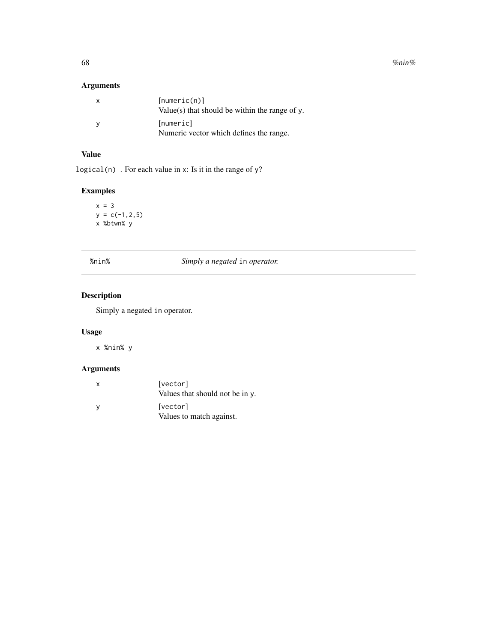$68$  % nin% nine states that the state of the state of the state of the state of the state of the state of the state of the state of the state of the state of the state of the state of the state of the state of the state

# Arguments

| $\mathbf{x}$ | [numeric(n)]<br>Value(s) that should be within the range of $\nu$ . |
|--------------|---------------------------------------------------------------------|
|              | [numeric]<br>Numeric vector which defines the range.                |

# Value

logical(n) . For each value in x: Is it in the range of  $y$ ?

# Examples

```
x = 3y = c(-1, 2, 5)x %btwn% y
```

| %nin% |  |  |
|-------|--|--|
|       |  |  |

# $Simplify a negated in operator.$

# Description

Simply a negated in operator.

# Usage

x %nin% y

| x | [vector]<br>Values that should not be in y. |
|---|---------------------------------------------|
| v | [vector]<br>Values to match against.        |

<span id="page-67-0"></span>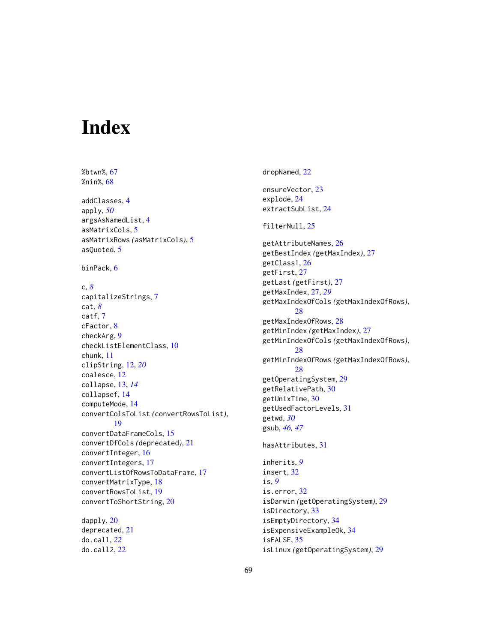# <span id="page-68-0"></span>**Index**

%btwn%, [67](#page-66-0) %nin%, [68](#page-67-0) addClasses, [4](#page-3-0) apply, *[50](#page-49-0)* argsAsNamedList, [4](#page-3-0) asMatrixCols, [5](#page-4-0) asMatrixRows *(*asMatrixCols*)*, [5](#page-4-0) asQuoted, [5](#page-4-0) binPack, [6](#page-5-0) c, *[8](#page-7-0)* capitalizeStrings, [7](#page-6-0) cat, *[8](#page-7-0)* catf, [7](#page-6-0) cFactor, [8](#page-7-0) checkArg, [9](#page-8-0) checkListElementClass, [10](#page-9-0) chunk, [11](#page-10-0) clipString, [12,](#page-11-0) *[20](#page-19-0)* coalesce, [12](#page-11-0) collapse, [13,](#page-12-0) *[14](#page-13-0)* collapsef, [14](#page-13-0) computeMode, [14](#page-13-0) convertColsToList *(*convertRowsToList*)*, [19](#page-18-0) convertDataFrameCols, [15](#page-14-0) convertDfCols *(*deprecated*)*, [21](#page-20-0) convertInteger, [16](#page-15-0) convertIntegers, [17](#page-16-0) convertListOfRowsToDataFrame, [17](#page-16-0) convertMatrixType, [18](#page-17-0) convertRowsToList, [19](#page-18-0) convertToShortString, [20](#page-19-0) dapply, [20](#page-19-0) deprecated, [21](#page-20-0)

do.call, *[22](#page-21-0)* do.call2, [22](#page-21-0) dropNamed, [22](#page-21-0) ensureVector, [23](#page-22-0) explode, [24](#page-23-0) extractSubList, [24](#page-23-0) filterNull, [25](#page-24-0) getAttributeNames, [26](#page-25-0) getBestIndex *(*getMaxIndex*)*, [27](#page-26-0) getClass1, [26](#page-25-0) getFirst, [27](#page-26-0) getLast *(*getFirst*)*, [27](#page-26-0) getMaxIndex, [27,](#page-26-0) *[29](#page-28-0)* getMaxIndexOfCols *(*getMaxIndexOfRows*)*, [28](#page-27-0) getMaxIndexOfRows, [28](#page-27-0) getMinIndex *(*getMaxIndex*)*, [27](#page-26-0) getMinIndexOfCols *(*getMaxIndexOfRows*)*, [28](#page-27-0) getMinIndexOfRows *(*getMaxIndexOfRows*)*,  $28$ getOperatingSystem, [29](#page-28-0) getRelativePath, [30](#page-29-0) getUnixTime, [30](#page-29-0) getUsedFactorLevels, [31](#page-30-0) getwd, *[30](#page-29-0)* gsub, *[46,](#page-45-0) [47](#page-46-0)* hasAttributes, [31](#page-30-0)

inherits, *[9](#page-8-0)* insert, [32](#page-31-0) is, *[9](#page-8-0)* is.error, [32](#page-31-0) isDarwin *(*getOperatingSystem*)*, [29](#page-28-0) isDirectory, [33](#page-32-0) isEmptyDirectory, [34](#page-33-0) isExpensiveExampleOk, [34](#page-33-0) isFALSE, [35](#page-34-0) isLinux *(*getOperatingSystem*)*, [29](#page-28-0)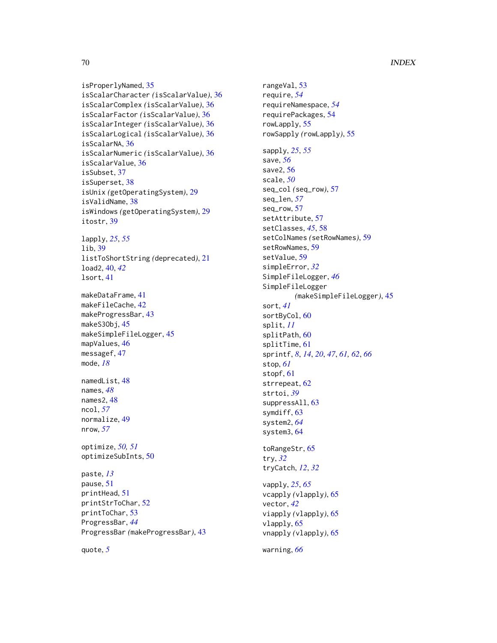#### 70 INDEX

```
isProperlyNamed, 35
isScalarCharacter (isScalarValue), 36
isScalarComplex (isScalarValue), 36
isScalarFactor (isScalarValue), 36
isScalarInteger (isScalarValue), 36
isScalarLogical (isScalarValue), 36
isScalarNA, 36
isScalarNumeric (isScalarValue), 36
isScalarValue, 36
isSubset, 37
isSuperset, 38
isUnix (getOperatingSystem), 29
isValidName, 38
isWindows (getOperatingSystem), 29
itostr, 39
lapply, 25, 55
lib, 39
listToShortString (deprecated), 21
load2, 40, 42
lsort, 41
makeDataFrame, 41
makeFileCache, 42
makeProgressBar, 43
makeS3Obj, 45
makeSimpleFileLogger, 45
mapValues, 46
messagef, 47
mode, 18
namedList, 48
names, 48
names2, 48
ncol, 57
normalize, 49
nrow, 57
optimize, 50, 51
optimizeSubInts, 50
paste, 13
pause, 51
printHead, 51
printStrToChar, 52
printToChar, 53
```
rangeVal, [53](#page-52-0) require, *[54](#page-53-0)* requireNamespace, *[54](#page-53-0)* requirePackages, [54](#page-53-0) rowLapply, [55](#page-54-0) rowSapply *(*rowLapply*)*, [55](#page-54-0) sapply, *[25](#page-24-0)*, *[55](#page-54-0)* save, *[56](#page-55-0)* save2, [56](#page-55-0) scale, *[50](#page-49-0)* seq\_col *(*seq\_row*)*, [57](#page-56-0) seq\_len, *[57](#page-56-0)* seq\_row, [57](#page-56-0) setAttribute, [57](#page-56-0) setClasses, *[45](#page-44-0)*, [58](#page-57-0) setColNames *(*setRowNames*)*, [59](#page-58-0) setRowNames, [59](#page-58-0) setValue, [59](#page-58-0) simpleError, *[32](#page-31-0)* SimpleFileLogger, *[46](#page-45-0)* SimpleFileLogger *(*makeSimpleFileLogger*)*, [45](#page-44-0) sort, *[41](#page-40-0)* sortByCol, [60](#page-59-0) split, *[11](#page-10-0)* splitPath, [60](#page-59-0) splitTime, [61](#page-60-0) sprintf, *[8](#page-7-0)*, *[14](#page-13-0)*, *[20](#page-19-0)*, *[47](#page-46-0)*, *[61,](#page-60-0) [62](#page-61-0)*, *[66](#page-65-0)* stop, *[61](#page-60-0)* stopf, [61](#page-60-0) strrepeat, [62](#page-61-0) strtoi, *[39](#page-38-0)* suppressAll, [63](#page-62-0) symdiff, [63](#page-62-0) system2, *[64](#page-63-0)* system3, [64](#page-63-0) toRangeStr, [65](#page-64-0) try, *[32](#page-31-0)* tryCatch, *[12](#page-11-0)*, *[32](#page-31-0)* vapply, *[25](#page-24-0)*, *[65](#page-64-0)* vcapply *(*vlapply*)*, [65](#page-64-0) vector, *[42](#page-41-0)* viapply *(*vlapply*)*, [65](#page-64-0) vlapply, [65](#page-64-0) vnapply *(*vlapply*)*, [65](#page-64-0)

quote, *[5](#page-4-0)*

ProgressBar, *[44](#page-43-0)*

ProgressBar *(*makeProgressBar*)*, [43](#page-42-0)

warning, *[66](#page-65-0)*